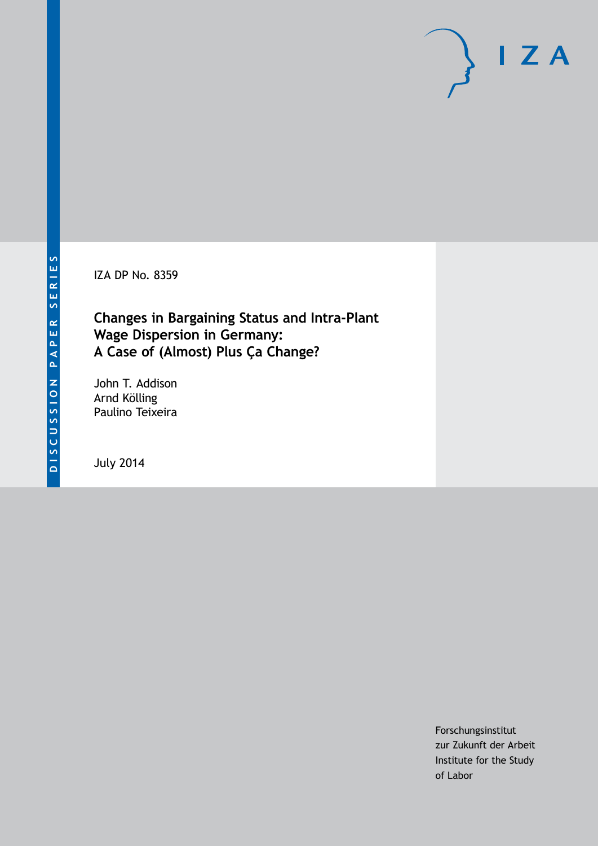IZA DP No. 8359

## **Changes in Bargaining Status and Intra-Plant Wage Dispersion in Germany: A Case of (Almost) Plus Ça Change?**

John T. Addison Arnd Kölling Paulino Teixeira

July 2014

Forschungsinstitut zur Zukunft der Arbeit Institute for the Study of Labor

 $I Z A$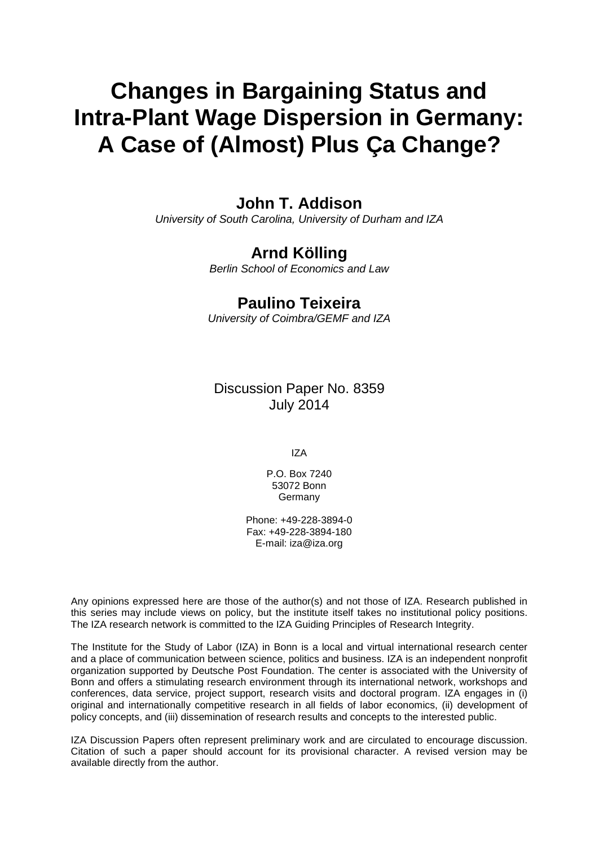# **Changes in Bargaining Status and Intra-Plant Wage Dispersion in Germany: A Case of (Almost) Plus Ça Change?**

## **John T. Addison**

*University of South Carolina, University of Durham and IZA*

## **Arnd Kölling**

*Berlin School of Economics and Law*

## **Paulino Teixeira**

*University of Coimbra/GEMF and IZA*

Discussion Paper No. 8359 July 2014

IZA

P.O. Box 7240 53072 Bonn Germany

Phone: +49-228-3894-0 Fax: +49-228-3894-180 E-mail: [iza@iza.org](mailto:iza@iza.org)

Any opinions expressed here are those of the author(s) and not those of IZA. Research published in this series may include views on policy, but the institute itself takes no institutional policy positions. The IZA research network is committed to the IZA Guiding Principles of Research Integrity.

The Institute for the Study of Labor (IZA) in Bonn is a local and virtual international research center and a place of communication between science, politics and business. IZA is an independent nonprofit organization supported by Deutsche Post Foundation. The center is associated with the University of Bonn and offers a stimulating research environment through its international network, workshops and conferences, data service, project support, research visits and doctoral program. IZA engages in (i) original and internationally competitive research in all fields of labor economics, (ii) development of policy concepts, and (iii) dissemination of research results and concepts to the interested public.

IZA Discussion Papers often represent preliminary work and are circulated to encourage discussion. Citation of such a paper should account for its provisional character. A revised version may be available directly from the author.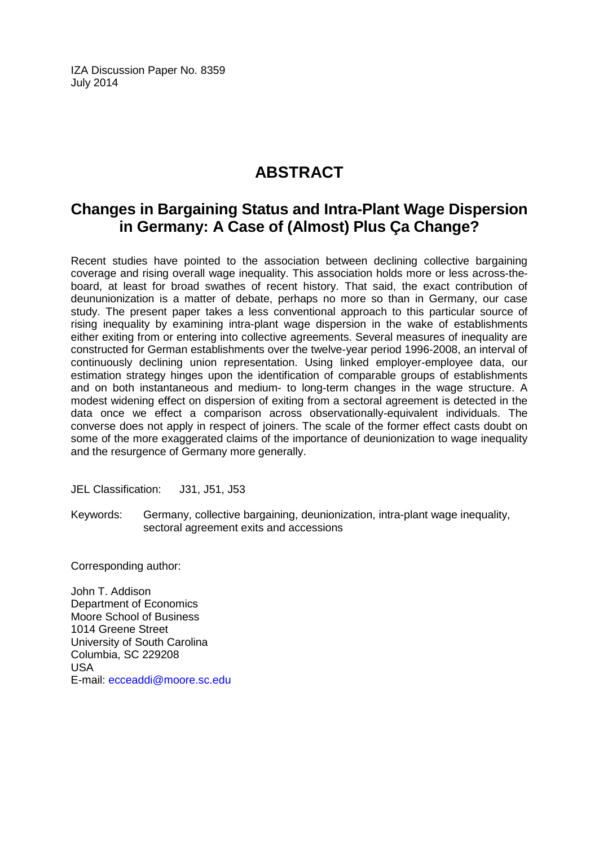IZA Discussion Paper No. 8359 July 2014

## **ABSTRACT**

## **Changes in Bargaining Status and Intra-Plant Wage Dispersion in Germany: A Case of (Almost) Plus Ça Change?**

Recent studies have pointed to the association between declining collective bargaining coverage and rising overall wage inequality. This association holds more or less across-theboard, at least for broad swathes of recent history. That said, the exact contribution of deununionization is a matter of debate, perhaps no more so than in Germany, our case study. The present paper takes a less conventional approach to this particular source of rising inequality by examining intra-plant wage dispersion in the wake of establishments either exiting from or entering into collective agreements. Several measures of inequality are constructed for German establishments over the twelve-year period 1996-2008, an interval of continuously declining union representation. Using linked employer-employee data, our estimation strategy hinges upon the identification of comparable groups of establishments and on both instantaneous and medium- to long-term changes in the wage structure. A modest widening effect on dispersion of exiting from a sectoral agreement is detected in the data once we effect a comparison across observationally-equivalent individuals. The converse does not apply in respect of joiners. The scale of the former effect casts doubt on some of the more exaggerated claims of the importance of deunionization to wage inequality and the resurgence of Germany more generally.

JEL Classification: J31, J51, J53

Keywords: Germany, collective bargaining, deunionization, intra-plant wage inequality, sectoral agreement exits and accessions

Corresponding author:

John T. Addison Department of Economics Moore School of Business 1014 Greene Street University of South Carolina Columbia, SC 229208 USA E-mail: [ecceaddi@moore.sc.edu](mailto:ecceaddi@moore.sc.edu)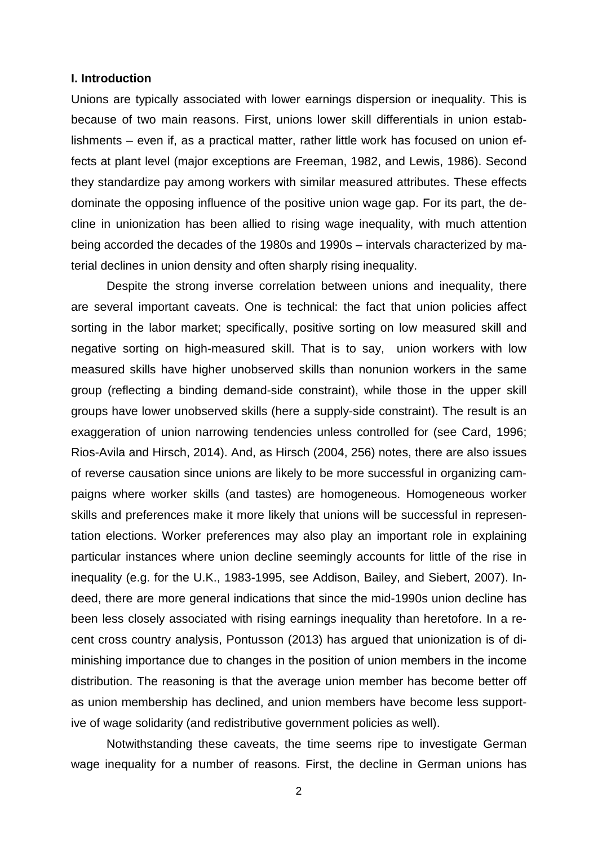#### **I. Introduction**

Unions are typically associated with lower earnings dispersion or inequality. This is because of two main reasons. First, unions lower skill differentials in union establishments – even if, as a practical matter, rather little work has focused on union effects at plant level (major exceptions are Freeman, 1982, and Lewis, 1986). Second they standardize pay among workers with similar measured attributes. These effects dominate the opposing influence of the positive union wage gap. For its part, the decline in unionization has been allied to rising wage inequality, with much attention being accorded the decades of the 1980s and 1990s – intervals characterized by material declines in union density and often sharply rising inequality.

Despite the strong inverse correlation between unions and inequality, there are several important caveats. One is technical: the fact that union policies affect sorting in the labor market; specifically, positive sorting on low measured skill and negative sorting on high-measured skill. That is to say, union workers with low measured skills have higher unobserved skills than nonunion workers in the same group (reflecting a binding demand-side constraint), while those in the upper skill groups have lower unobserved skills (here a supply-side constraint). The result is an exaggeration of union narrowing tendencies unless controlled for (see Card, 1996; Rios-Avila and Hirsch, 2014). And, as Hirsch (2004, 256) notes, there are also issues of reverse causation since unions are likely to be more successful in organizing campaigns where worker skills (and tastes) are homogeneous. Homogeneous worker skills and preferences make it more likely that unions will be successful in representation elections. Worker preferences may also play an important role in explaining particular instances where union decline seemingly accounts for little of the rise in inequality (e.g. for the U.K., 1983-1995, see Addison, Bailey, and Siebert, 2007). Indeed, there are more general indications that since the mid-1990s union decline has been less closely associated with rising earnings inequality than heretofore. In a recent cross country analysis, Pontusson (2013) has argued that unionization is of diminishing importance due to changes in the position of union members in the income distribution. The reasoning is that the average union member has become better off as union membership has declined, and union members have become less supportive of wage solidarity (and redistributive government policies as well).

Notwithstanding these caveats, the time seems ripe to investigate German wage inequality for a number of reasons. First, the decline in German unions has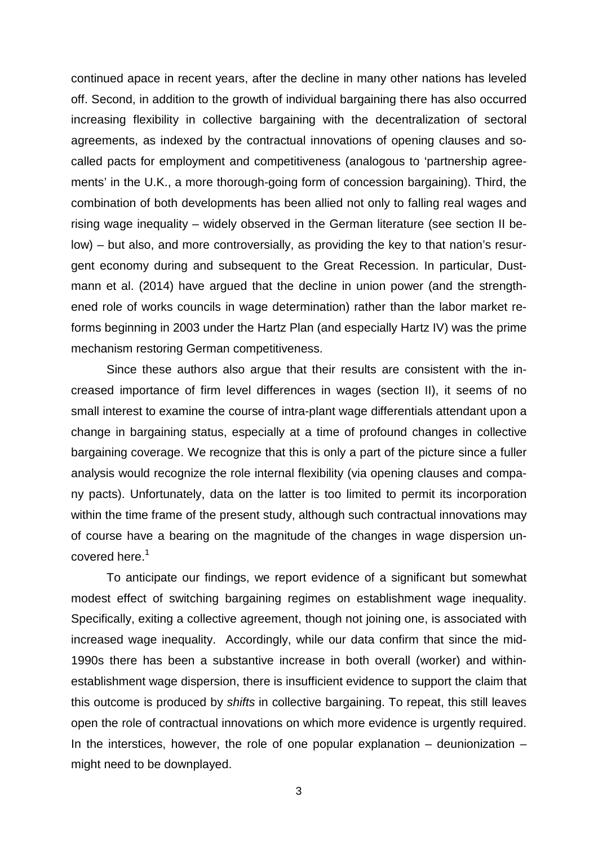continued apace in recent years, after the decline in many other nations has leveled off. Second, in addition to the growth of individual bargaining there has also occurred increasing flexibility in collective bargaining with the decentralization of sectoral agreements, as indexed by the contractual innovations of opening clauses and socalled pacts for employment and competitiveness (analogous to 'partnership agreements' in the U.K., a more thorough-going form of concession bargaining). Third, the combination of both developments has been allied not only to falling real wages and rising wage inequality – widely observed in the German literature (see section II below) – but also, and more controversially, as providing the key to that nation's resurgent economy during and subsequent to the Great Recession. In particular, Dustmann et al. (2014) have argued that the decline in union power (and the strengthened role of works councils in wage determination) rather than the labor market reforms beginning in 2003 under the Hartz Plan (and especially Hartz IV) was the prime mechanism restoring German competitiveness.

Since these authors also argue that their results are consistent with the increased importance of firm level differences in wages (section II), it seems of no small interest to examine the course of intra-plant wage differentials attendant upon a change in bargaining status, especially at a time of profound changes in collective bargaining coverage. We recognize that this is only a part of the picture since a fuller analysis would recognize the role internal flexibility (via opening clauses and company pacts). Unfortunately, data on the latter is too limited to permit its incorporation within the time frame of the present study, although such contractual innovations may of course have a bearing on the magnitude of the changes in wage dispersion uncovered here.<sup>1</sup>

To anticipate our findings, we report evidence of a significant but somewhat modest effect of switching bargaining regimes on establishment wage inequality. Specifically, exiting a collective agreement, though not joining one, is associated with increased wage inequality. Accordingly, while our data confirm that since the mid-1990s there has been a substantive increase in both overall (worker) and withinestablishment wage dispersion, there is insufficient evidence to support the claim that this outcome is produced by *shifts* in collective bargaining. To repeat, this still leaves open the role of contractual innovations on which more evidence is urgently required. In the interstices, however, the role of one popular explanation  $-$  deunionization  $$ might need to be downplayed.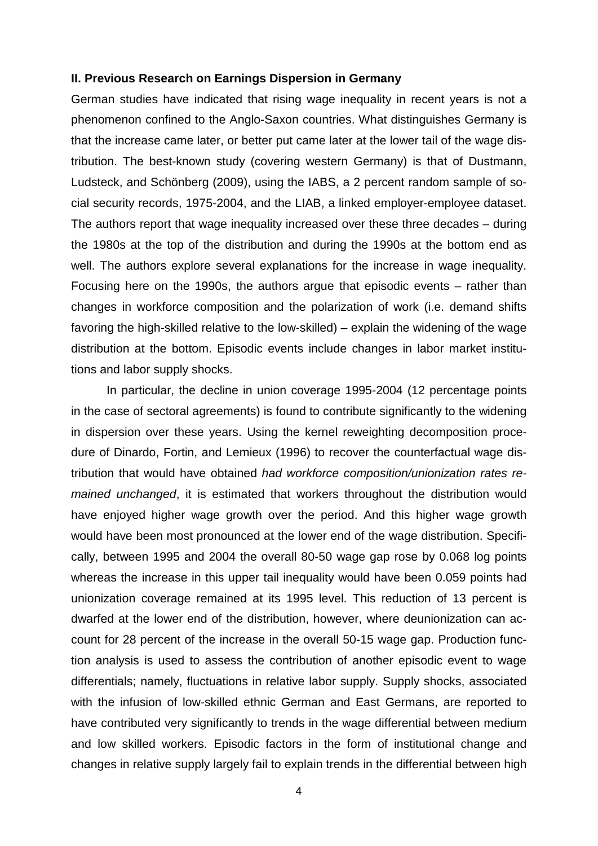#### **II. Previous Research on Earnings Dispersion in Germany**

German studies have indicated that rising wage inequality in recent years is not a phenomenon confined to the Anglo-Saxon countries. What distinguishes Germany is that the increase came later, or better put came later at the lower tail of the wage distribution. The best-known study (covering western Germany) is that of Dustmann, Ludsteck, and Schönberg (2009), using the IABS, a 2 percent random sample of social security records, 1975-2004, and the LIAB, a linked employer-employee dataset. The authors report that wage inequality increased over these three decades – during the 1980s at the top of the distribution and during the 1990s at the bottom end as well. The authors explore several explanations for the increase in wage inequality. Focusing here on the 1990s, the authors argue that episodic events – rather than changes in workforce composition and the polarization of work (i.e. demand shifts favoring the high-skilled relative to the low-skilled) – explain the widening of the wage distribution at the bottom. Episodic events include changes in labor market institutions and labor supply shocks.

In particular, the decline in union coverage 1995-2004 (12 percentage points in the case of sectoral agreements) is found to contribute significantly to the widening in dispersion over these years. Using the kernel reweighting decomposition procedure of Dinardo, Fortin, and Lemieux (1996) to recover the counterfactual wage distribution that would have obtained *had workforce composition/unionization rates remained unchanged*, it is estimated that workers throughout the distribution would have enjoyed higher wage growth over the period. And this higher wage growth would have been most pronounced at the lower end of the wage distribution. Specifically, between 1995 and 2004 the overall 80-50 wage gap rose by 0.068 log points whereas the increase in this upper tail inequality would have been 0.059 points had unionization coverage remained at its 1995 level. This reduction of 13 percent is dwarfed at the lower end of the distribution, however, where deunionization can account for 28 percent of the increase in the overall 50-15 wage gap. Production function analysis is used to assess the contribution of another episodic event to wage differentials; namely, fluctuations in relative labor supply. Supply shocks, associated with the infusion of low-skilled ethnic German and East Germans, are reported to have contributed very significantly to trends in the wage differential between medium and low skilled workers. Episodic factors in the form of institutional change and changes in relative supply largely fail to explain trends in the differential between high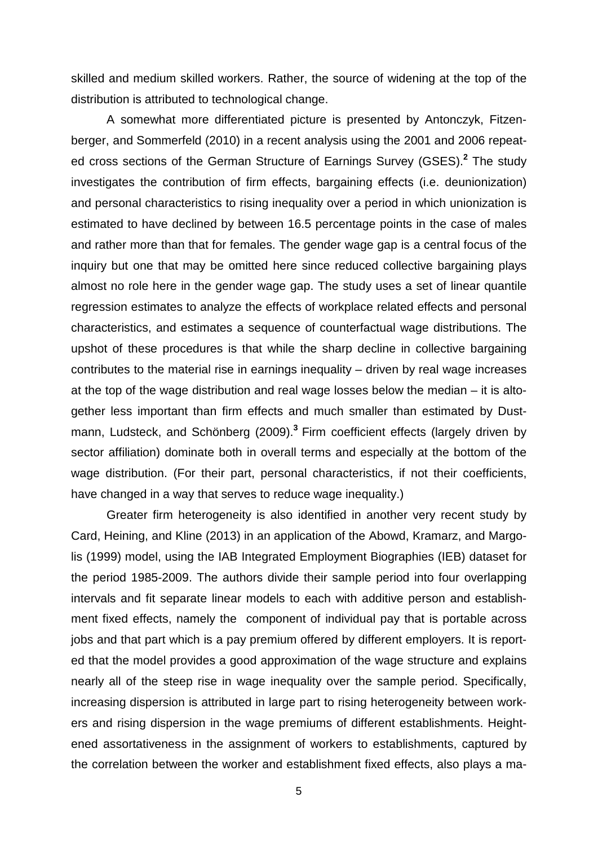skilled and medium skilled workers. Rather, the source of widening at the top of the distribution is attributed to technological change.

A somewhat more differentiated picture is presented by Antonczyk, Fitzenberger, and Sommerfeld (2010) in a recent analysis using the 2001 and 2006 repeated cross sections of the German Structure of Earnings Survey (GSES).**<sup>2</sup>** The study investigates the contribution of firm effects, bargaining effects (i.e. deunionization) and personal characteristics to rising inequality over a period in which unionization is estimated to have declined by between 16.5 percentage points in the case of males and rather more than that for females. The gender wage gap is a central focus of the inquiry but one that may be omitted here since reduced collective bargaining plays almost no role here in the gender wage gap. The study uses a set of linear quantile regression estimates to analyze the effects of workplace related effects and personal characteristics, and estimates a sequence of counterfactual wage distributions. The upshot of these procedures is that while the sharp decline in collective bargaining contributes to the material rise in earnings inequality – driven by real wage increases at the top of the wage distribution and real wage losses below the median – it is altogether less important than firm effects and much smaller than estimated by Dustmann, Ludsteck, and Schönberg (2009).**<sup>3</sup>** Firm coefficient effects (largely driven by sector affiliation) dominate both in overall terms and especially at the bottom of the wage distribution. (For their part, personal characteristics, if not their coefficients, have changed in a way that serves to reduce wage inequality.)

Greater firm heterogeneity is also identified in another very recent study by Card, Heining, and Kline (2013) in an application of the Abowd, Kramarz, and Margolis (1999) model, using the IAB Integrated Employment Biographies (IEB) dataset for the period 1985-2009. The authors divide their sample period into four overlapping intervals and fit separate linear models to each with additive person and establishment fixed effects, namely the component of individual pay that is portable across jobs and that part which is a pay premium offered by different employers. It is reported that the model provides a good approximation of the wage structure and explains nearly all of the steep rise in wage inequality over the sample period. Specifically, increasing dispersion is attributed in large part to rising heterogeneity between workers and rising dispersion in the wage premiums of different establishments. Heightened assortativeness in the assignment of workers to establishments, captured by the correlation between the worker and establishment fixed effects, also plays a ma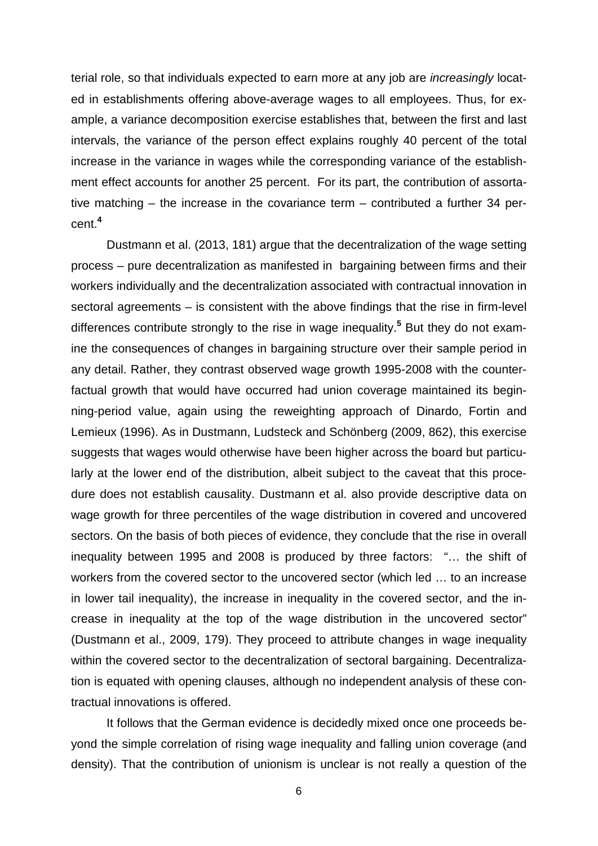terial role, so that individuals expected to earn more at any job are *increasingly* located in establishments offering above-average wages to all employees. Thus, for example, a variance decomposition exercise establishes that, between the first and last intervals, the variance of the person effect explains roughly 40 percent of the total increase in the variance in wages while the corresponding variance of the establishment effect accounts for another 25 percent. For its part, the contribution of assortative matching – the increase in the covariance term – contributed a further 34 percent.**<sup>4</sup>**

Dustmann et al. (2013, 181) argue that the decentralization of the wage setting process – pure decentralization as manifested in bargaining between firms and their workers individually and the decentralization associated with contractual innovation in sectoral agreements – is consistent with the above findings that the rise in firm-level differences contribute strongly to the rise in wage inequality.**<sup>5</sup>** But they do not examine the consequences of changes in bargaining structure over their sample period in any detail. Rather, they contrast observed wage growth 1995-2008 with the counterfactual growth that would have occurred had union coverage maintained its beginning-period value, again using the reweighting approach of Dinardo, Fortin and Lemieux (1996). As in Dustmann, Ludsteck and Schönberg (2009, 862), this exercise suggests that wages would otherwise have been higher across the board but particularly at the lower end of the distribution, albeit subject to the caveat that this procedure does not establish causality. Dustmann et al. also provide descriptive data on wage growth for three percentiles of the wage distribution in covered and uncovered sectors. On the basis of both pieces of evidence, they conclude that the rise in overall inequality between 1995 and 2008 is produced by three factors: "… the shift of workers from the covered sector to the uncovered sector (which led … to an increase in lower tail inequality), the increase in inequality in the covered sector, and the increase in inequality at the top of the wage distribution in the uncovered sector" (Dustmann et al., 2009, 179). They proceed to attribute changes in wage inequality within the covered sector to the decentralization of sectoral bargaining. Decentralization is equated with opening clauses, although no independent analysis of these contractual innovations is offered.

It follows that the German evidence is decidedly mixed once one proceeds beyond the simple correlation of rising wage inequality and falling union coverage (and density). That the contribution of unionism is unclear is not really a question of the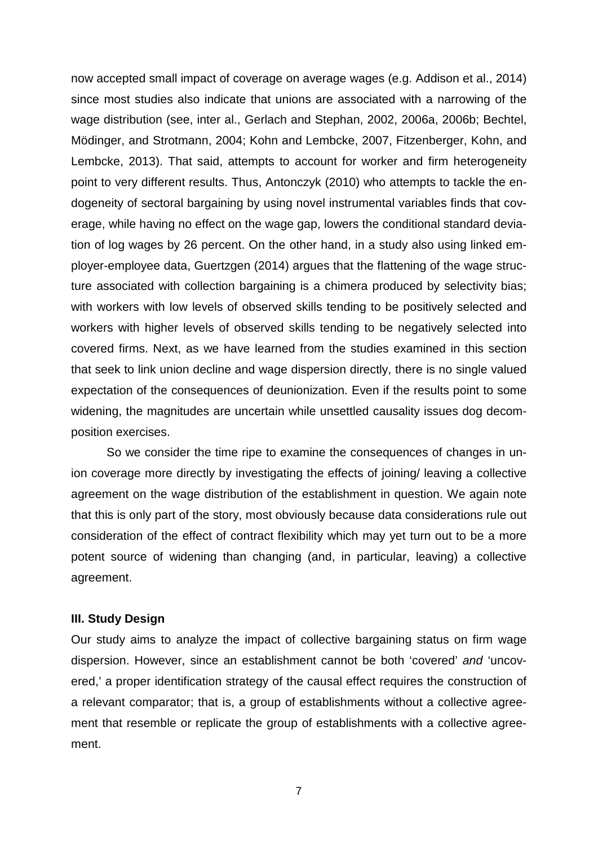now accepted small impact of coverage on average wages (e.g. Addison et al., 2014) since most studies also indicate that unions are associated with a narrowing of the wage distribution (see, inter al., Gerlach and Stephan, 2002, 2006a, 2006b; Bechtel, Mödinger, and Strotmann, 2004; Kohn and Lembcke, 2007, Fitzenberger, Kohn, and Lembcke, 2013). That said, attempts to account for worker and firm heterogeneity point to very different results. Thus, Antonczyk (2010) who attempts to tackle the endogeneity of sectoral bargaining by using novel instrumental variables finds that coverage, while having no effect on the wage gap, lowers the conditional standard deviation of log wages by 26 percent. On the other hand, in a study also using linked employer-employee data, Guertzgen (2014) argues that the flattening of the wage structure associated with collection bargaining is a chimera produced by selectivity bias; with workers with low levels of observed skills tending to be positively selected and workers with higher levels of observed skills tending to be negatively selected into covered firms. Next, as we have learned from the studies examined in this section that seek to link union decline and wage dispersion directly, there is no single valued expectation of the consequences of deunionization. Even if the results point to some widening, the magnitudes are uncertain while unsettled causality issues dog decomposition exercises.

So we consider the time ripe to examine the consequences of changes in union coverage more directly by investigating the effects of joining/ leaving a collective agreement on the wage distribution of the establishment in question. We again note that this is only part of the story, most obviously because data considerations rule out consideration of the effect of contract flexibility which may yet turn out to be a more potent source of widening than changing (and, in particular, leaving) a collective agreement.

#### **III. Study Design**

Our study aims to analyze the impact of collective bargaining status on firm wage dispersion. However, since an establishment cannot be both 'covered' *and* 'uncovered,' a proper identification strategy of the causal effect requires the construction of a relevant comparator; that is, a group of establishments without a collective agreement that resemble or replicate the group of establishments with a collective agreement.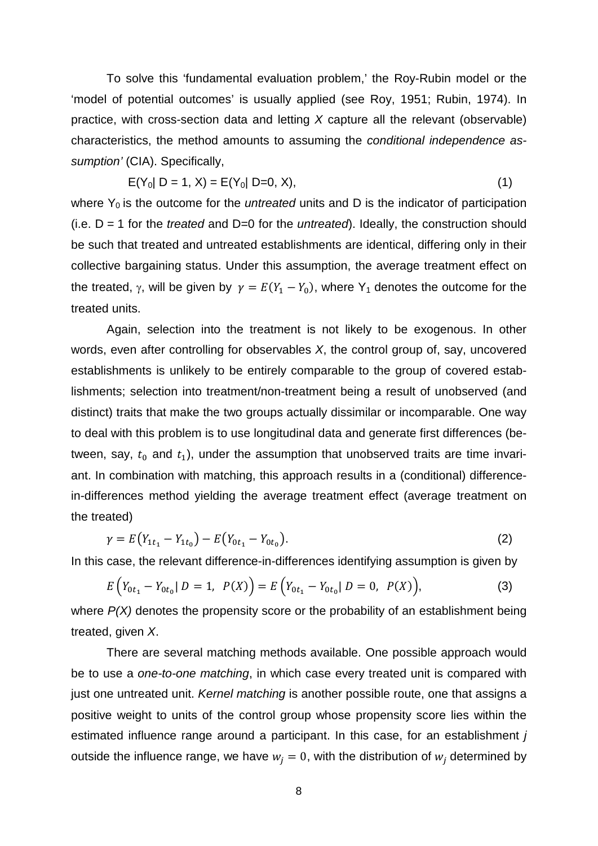To solve this 'fundamental evaluation problem,' the Roy-Rubin model or the 'model of potential outcomes' is usually applied (see Roy, 1951; Rubin, 1974). In practice, with cross-section data and letting *X* capture all the relevant (observable) characteristics, the method amounts to assuming the *conditional independence assumption'* (CIA). Specifically,

$$
E(Y_0|D = 1, X) = E(Y_0|D = 0, X),
$$
\n(1)

where  $Y_0$  is the outcome for the *untreated* units and D is the indicator of participation (i.e. D = 1 for the *treated* and D=0 for the *untreated*). Ideally, the construction should be such that treated and untreated establishments are identical, differing only in their collective bargaining status. Under this assumption, the average treatment effect on the treated,  $\gamma$ , will be given by  $\gamma = E(Y_1 - Y_0)$ , where Y<sub>1</sub> denotes the outcome for the treated units.

Again, selection into the treatment is not likely to be exogenous. In other words, even after controlling for observables *X*, the control group of, say, uncovered establishments is unlikely to be entirely comparable to the group of covered establishments; selection into treatment/non-treatment being a result of unobserved (and distinct) traits that make the two groups actually dissimilar or incomparable. One way to deal with this problem is to use longitudinal data and generate first differences (between, say,  $t_0$  and  $t_1$ ), under the assumption that unobserved traits are time invariant. In combination with matching, this approach results in a (conditional) differencein-differences method yielding the average treatment effect (average treatment on the treated)

$$
\gamma = E(Y_{1t_1} - Y_{1t_0}) - E(Y_{0t_1} - Y_{0t_0}).
$$
\n(2)

In this case, the relevant difference-in-differences identifying assumption is given by

$$
E(Y_{0t_1} - Y_{0t_0} | D = 1, P(X)) = E(Y_{0t_1} - Y_{0t_0} | D = 0, P(X)),
$$
\n(3)

where  $P(X)$  denotes the propensity score or the probability of an establishment being treated, given *X*.

There are several matching methods available. One possible approach would be to use a *one-to-one matching*, in which case every treated unit is compared with just one untreated unit. *Kernel matching* is another possible route, one that assigns a positive weight to units of the control group whose propensity score lies within the estimated influence range around a participant. In this case, for an establishment *j* outside the influence range, we have  $w_i = 0$ , with the distribution of  $w_i$  determined by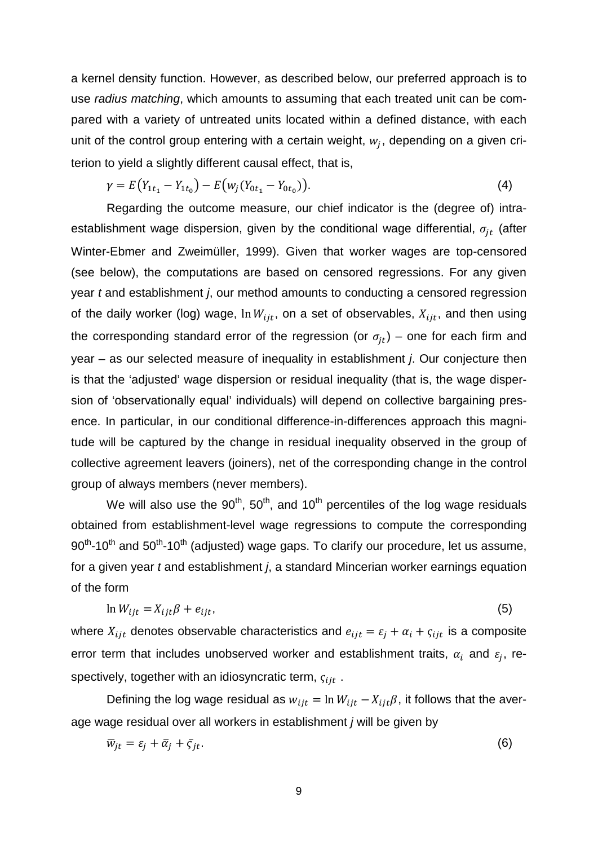a kernel density function. However, as described below, our preferred approach is to use *radius matching*, which amounts to assuming that each treated unit can be compared with a variety of untreated units located within a defined distance, with each unit of the control group entering with a certain weight,  $w_i$ , depending on a given criterion to yield a slightly different causal effect, that is,

$$
\gamma = E(Y_{1t_1} - Y_{1t_0}) - E(w_j(Y_{0t_1} - Y_{0t_0})).
$$
\n(4)

Regarding the outcome measure, our chief indicator is the (degree of) intraestablishment wage dispersion, given by the conditional wage differential,  $\sigma_{it}$  (after Winter-Ebmer and Zweimüller, 1999). Given that worker wages are top-censored (see below), the computations are based on censored regressions. For any given year *t* and establishment *j*, our method amounts to conducting a censored regression of the daily worker (log) wage,  $\ln W_{iit}$ , on a set of observables,  $X_{iit}$ , and then using the corresponding standard error of the regression (or  $\sigma_{it}$ ) – one for each firm and year – as our selected measure of inequality in establishment *j*. Our conjecture then is that the 'adjusted' wage dispersion or residual inequality (that is, the wage dispersion of 'observationally equal' individuals) will depend on collective bargaining presence. In particular, in our conditional difference-in-differences approach this magnitude will be captured by the change in residual inequality observed in the group of collective agreement leavers (joiners), net of the corresponding change in the control group of always members (never members).

We will also use the  $90<sup>th</sup>$ , 50<sup>th</sup>, and 10<sup>th</sup> percentiles of the log wage residuals obtained from establishment-level wage regressions to compute the corresponding  $90<sup>th</sup>$ -10<sup>th</sup> and 50<sup>th</sup>-10<sup>th</sup> (adjusted) wage gaps. To clarify our procedure, let us assume, for a given year *t* and establishment *j*, a standard Mincerian worker earnings equation of the form

$$
\ln W_{ijt} = X_{ijt}\beta + e_{ijt},\tag{5}
$$

where  $X_{ijt}$  denotes observable characteristics and  $e_{ijt} = \varepsilon_j + \alpha_i + \varsigma_{ijt}$  is a composite error term that includes unobserved worker and establishment traits,  $\alpha_i$  and  $\varepsilon_i$ , respectively, together with an idiosyncratic term,  $q_{iit}$ .

Defining the log wage residual as  $w_{ijt} = \ln W_{ijt} - X_{ijt}\beta$ , it follows that the average wage residual over all workers in establishment *j* will be given by

$$
\overline{w}_{jt} = \varepsilon_j + \overline{\alpha}_j + \overline{\varsigma}_{jt}.
$$
 (6)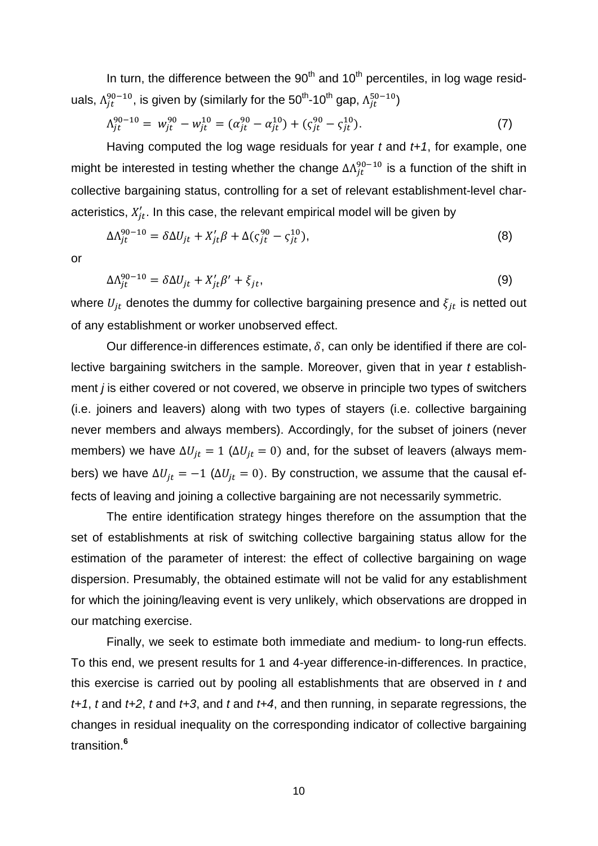In turn, the difference between the  $90<sup>th</sup>$  and  $10<sup>th</sup>$  percentiles, in log wage residuals,  $\Lambda_{jt}^{90-10}$ , is given by (similarly for the 50<sup>th</sup>-10<sup>th</sup> gap,  $\Lambda_{jt}^{50-10})$ 

$$
\Lambda_{jt}^{90-10} = w_{jt}^{90} - w_{jt}^{10} = (\alpha_{jt}^{90} - \alpha_{jt}^{10}) + (\zeta_{jt}^{90} - \zeta_{jt}^{10}).
$$
\n(7)

Having computed the log wage residuals for year *t* and *t+1*, for example, one might be interested in testing whether the change  $\Delta\Lambda_{jt}^{90-10}$  is a function of the shift in collective bargaining status, controlling for a set of relevant establishment-level characteristics,  $X_{jt}^{\prime}$ . In this case, the relevant empirical model will be given by

$$
\Delta \Lambda_{jt}^{90-10} = \delta \Delta U_{jt} + X_{jt}' \beta + \Delta (\varsigma_{jt}^{90} - \varsigma_{jt}^{10}),\tag{8}
$$

or

$$
\Delta \Lambda_{jt}^{90-10} = \delta \Delta U_{jt} + X_{jt}' \beta' + \xi_{jt},\tag{9}
$$

where  $U_{it}$  denotes the dummy for collective bargaining presence and  $\xi_{it}$  is netted out of any establishment or worker unobserved effect.

Our difference-in differences estimate,  $\delta$ , can only be identified if there are collective bargaining switchers in the sample. Moreover, given that in year *t* establishment *j* is either covered or not covered, we observe in principle two types of switchers (i.e. joiners and leavers) along with two types of stayers (i.e. collective bargaining never members and always members). Accordingly, for the subset of joiners (never members) we have  $\Delta U_{jt} = 1$  ( $\Delta U_{jt} = 0$ ) and, for the subset of leavers (always members) we have  $\Delta U_{jt} = -1$  ( $\Delta U_{jt} = 0$ ). By construction, we assume that the causal effects of leaving and joining a collective bargaining are not necessarily symmetric.

The entire identification strategy hinges therefore on the assumption that the set of establishments at risk of switching collective bargaining status allow for the estimation of the parameter of interest: the effect of collective bargaining on wage dispersion. Presumably, the obtained estimate will not be valid for any establishment for which the joining/leaving event is very unlikely, which observations are dropped in our matching exercise.

Finally, we seek to estimate both immediate and medium- to long-run effects. To this end, we present results for 1 and 4-year difference-in-differences. In practice, this exercise is carried out by pooling all establishments that are observed in *t* and *t+1*, *t* and *t+2*, *t* and *t+3*, and *t* and *t+4*, and then running, in separate regressions, the changes in residual inequality on the corresponding indicator of collective bargaining transition. **6**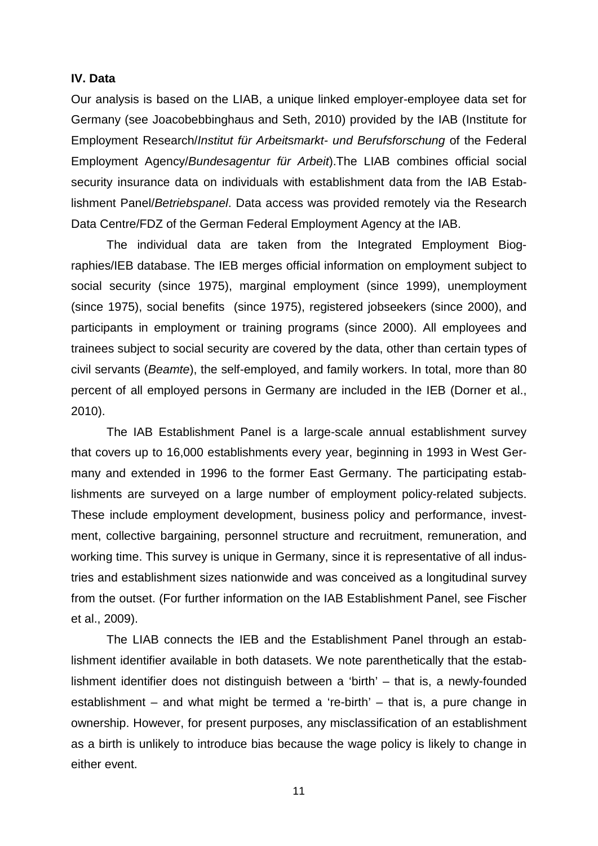## **IV. Data**

Our analysis is based on the LIAB, a unique linked employer-employee data set for Germany (see Joacobebbinghaus and Seth, 2010) provided by the IAB (Institute for Employment Research/*Institut für Arbeitsmarkt- und Berufsforschung* of the Federal Employment Agency/*Bundesagentur für Arbeit*).The LIAB combines official social security insurance data on individuals with establishment data from the IAB Establishment Panel/*Betriebspanel*. Data access was provided remotely via the Research Data Centre/FDZ of the German Federal Employment Agency at the IAB.

The individual data are taken from the Integrated Employment Biographies/IEB database. The IEB merges official information on employment subject to social security (since 1975), marginal employment (since 1999), unemployment (since 1975), social benefits (since 1975), registered jobseekers (since 2000), and participants in employment or training programs (since 2000). All employees and trainees subject to social security are covered by the data, other than certain types of civil servants (*Beamte*), the self-employed, and family workers. In total, more than 80 percent of all employed persons in Germany are included in the IEB (Dorner et al., 2010).

The IAB Establishment Panel is a large-scale annual establishment survey that covers up to 16,000 establishments every year, beginning in 1993 in West Germany and extended in 1996 to the former East Germany. The participating establishments are surveyed on a large number of employment policy-related subjects. These include employment development, business policy and performance, investment, collective bargaining, personnel structure and recruitment, remuneration, and working time. This survey is unique in Germany, since it is representative of all industries and establishment sizes nationwide and was conceived as a longitudinal survey from the outset. (For further information on the IAB Establishment Panel, see Fischer et al., 2009).

The LIAB connects the IEB and the Establishment Panel through an establishment identifier available in both datasets. We note parenthetically that the establishment identifier does not distinguish between a 'birth' – that is, a newly-founded establishment – and what might be termed a 're-birth' – that is, a pure change in ownership. However, for present purposes, any misclassification of an establishment as a birth is unlikely to introduce bias because the wage policy is likely to change in either event.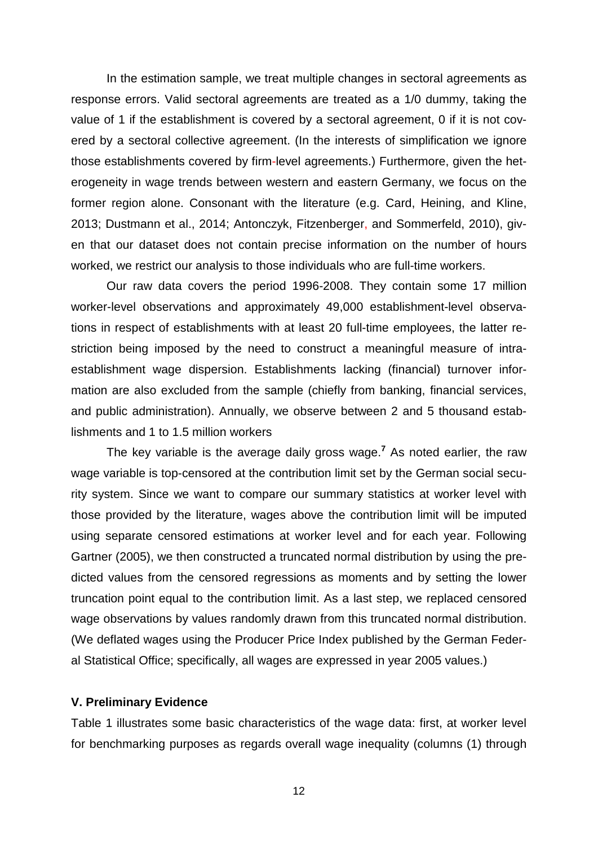In the estimation sample, we treat multiple changes in sectoral agreements as response errors. Valid sectoral agreements are treated as a 1/0 dummy, taking the value of 1 if the establishment is covered by a sectoral agreement, 0 if it is not covered by a sectoral collective agreement. (In the interests of simplification we ignore those establishments covered by firm-level agreements.) Furthermore, given the heterogeneity in wage trends between western and eastern Germany, we focus on the former region alone. Consonant with the literature (e.g. Card, Heining, and Kline, 2013; Dustmann et al., 2014; Antonczyk, Fitzenberger, and Sommerfeld, 2010), given that our dataset does not contain precise information on the number of hours worked, we restrict our analysis to those individuals who are full-time workers.

Our raw data covers the period 1996-2008. They contain some 17 million worker-level observations and approximately 49,000 establishment-level observations in respect of establishments with at least 20 full-time employees, the latter restriction being imposed by the need to construct a meaningful measure of intraestablishment wage dispersion. Establishments lacking (financial) turnover information are also excluded from the sample (chiefly from banking, financial services, and public administration). Annually, we observe between 2 and 5 thousand establishments and 1 to 1.5 million workers

The key variable is the average daily gross wage. **<sup>7</sup>** As noted earlier, the raw wage variable is top-censored at the contribution limit set by the German social security system. Since we want to compare our summary statistics at worker level with those provided by the literature, wages above the contribution limit will be imputed using separate censored estimations at worker level and for each year. Following Gartner (2005), we then constructed a truncated normal distribution by using the predicted values from the censored regressions as moments and by setting the lower truncation point equal to the contribution limit. As a last step, we replaced censored wage observations by values randomly drawn from this truncated normal distribution. (We deflated wages using the Producer Price Index published by the German Federal Statistical Office; specifically, all wages are expressed in year 2005 values.)

#### **V. Preliminary Evidence**

Table 1 illustrates some basic characteristics of the wage data: first, at worker level for benchmarking purposes as regards overall wage inequality (columns (1) through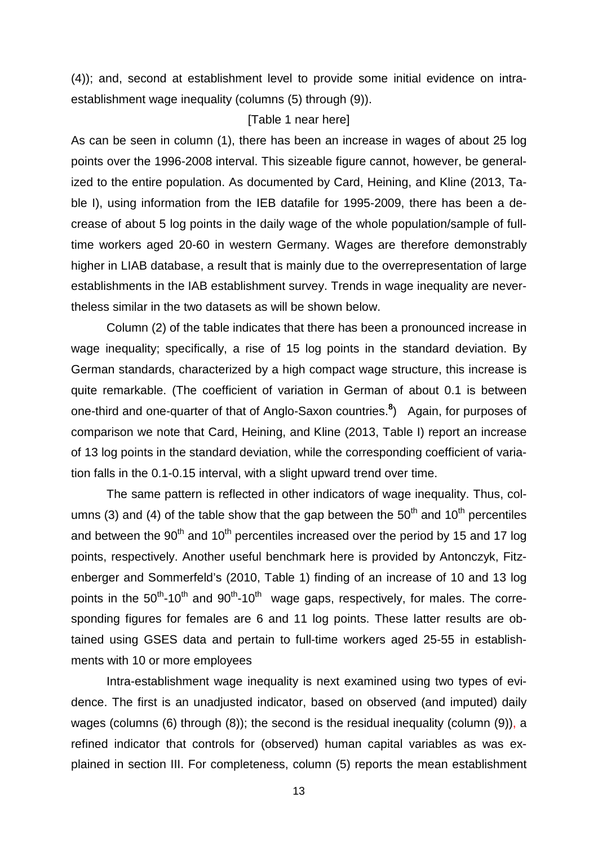(4)); and, second at establishment level to provide some initial evidence on intraestablishment wage inequality (columns (5) through (9)).

#### [Table 1 near here]

As can be seen in column (1), there has been an increase in wages of about 25 log points over the 1996-2008 interval. This sizeable figure cannot, however, be generalized to the entire population. As documented by Card, Heining, and Kline (2013, Table I), using information from the IEB datafile for 1995-2009, there has been a decrease of about 5 log points in the daily wage of the whole population/sample of fulltime workers aged 20-60 in western Germany. Wages are therefore demonstrably higher in LIAB database, a result that is mainly due to the overrepresentation of large establishments in the IAB establishment survey. Trends in wage inequality are nevertheless similar in the two datasets as will be shown below.

Column (2) of the table indicates that there has been a pronounced increase in wage inequality; specifically, a rise of 15 log points in the standard deviation. By German standards, characterized by a high compact wage structure, this increase is quite remarkable. (The coefficient of variation in German of about 0.1 is between one-third and one-quarter of that of Anglo-Saxon countries. **8** ) Again, for purposes of comparison we note that Card, Heining, and Kline (2013, Table I) report an increase of 13 log points in the standard deviation, while the corresponding coefficient of variation falls in the 0.1-0.15 interval, with a slight upward trend over time.

The same pattern is reflected in other indicators of wage inequality. Thus, columns (3) and (4) of the table show that the gap between the  $50<sup>th</sup>$  and  $10<sup>th</sup>$  percentiles and between the  $90<sup>th</sup>$  and  $10<sup>th</sup>$  percentiles increased over the period by 15 and 17 log points, respectively. Another useful benchmark here is provided by Antonczyk, Fitzenberger and Sommerfeld's (2010, Table 1) finding of an increase of 10 and 13 log points in the  $50^{th}$ -10<sup>th</sup> and  $90^{th}$ -10<sup>th</sup> wage gaps, respectively, for males. The corresponding figures for females are 6 and 11 log points. These latter results are obtained using GSES data and pertain to full-time workers aged 25-55 in establishments with 10 or more employees

Intra-establishment wage inequality is next examined using two types of evidence. The first is an unadjusted indicator, based on observed (and imputed) daily wages (columns (6) through (8)); the second is the residual inequality (column (9)), a refined indicator that controls for (observed) human capital variables as was explained in section III. For completeness, column (5) reports the mean establishment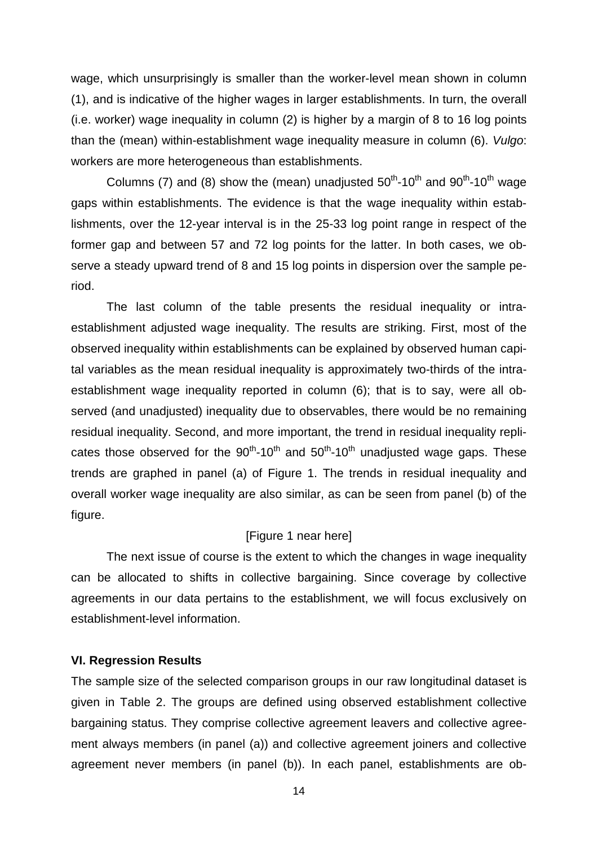wage, which unsurprisingly is smaller than the worker-level mean shown in column (1), and is indicative of the higher wages in larger establishments. In turn, the overall (i.e. worker) wage inequality in column (2) is higher by a margin of 8 to 16 log points than the (mean) within-establishment wage inequality measure in column (6). *Vulgo*: workers are more heterogeneous than establishments.

Columns (7) and (8) show the (mean) unadjusted  $50<sup>th</sup>$ -10<sup>th</sup> and  $90<sup>th</sup>$ -10<sup>th</sup> wage gaps within establishments. The evidence is that the wage inequality within establishments, over the 12-year interval is in the 25-33 log point range in respect of the former gap and between 57 and 72 log points for the latter. In both cases, we observe a steady upward trend of 8 and 15 log points in dispersion over the sample period.

The last column of the table presents the residual inequality or intraestablishment adjusted wage inequality. The results are striking. First, most of the observed inequality within establishments can be explained by observed human capital variables as the mean residual inequality is approximately two-thirds of the intraestablishment wage inequality reported in column (6); that is to say, were all observed (and unadjusted) inequality due to observables, there would be no remaining residual inequality. Second, and more important, the trend in residual inequality replicates those observed for the  $90<sup>th</sup>$ -10<sup>th</sup> and  $50<sup>th</sup>$ -10<sup>th</sup> unadjusted wage gaps. These trends are graphed in panel (a) of Figure 1. The trends in residual inequality and overall worker wage inequality are also similar, as can be seen from panel (b) of the figure.

### [Figure 1 near here]

The next issue of course is the extent to which the changes in wage inequality can be allocated to shifts in collective bargaining. Since coverage by collective agreements in our data pertains to the establishment, we will focus exclusively on establishment-level information.

#### **VI. Regression Results**

The sample size of the selected comparison groups in our raw longitudinal dataset is given in Table 2. The groups are defined using observed establishment collective bargaining status. They comprise collective agreement leavers and collective agreement always members (in panel (a)) and collective agreement joiners and collective agreement never members (in panel (b)). In each panel, establishments are ob-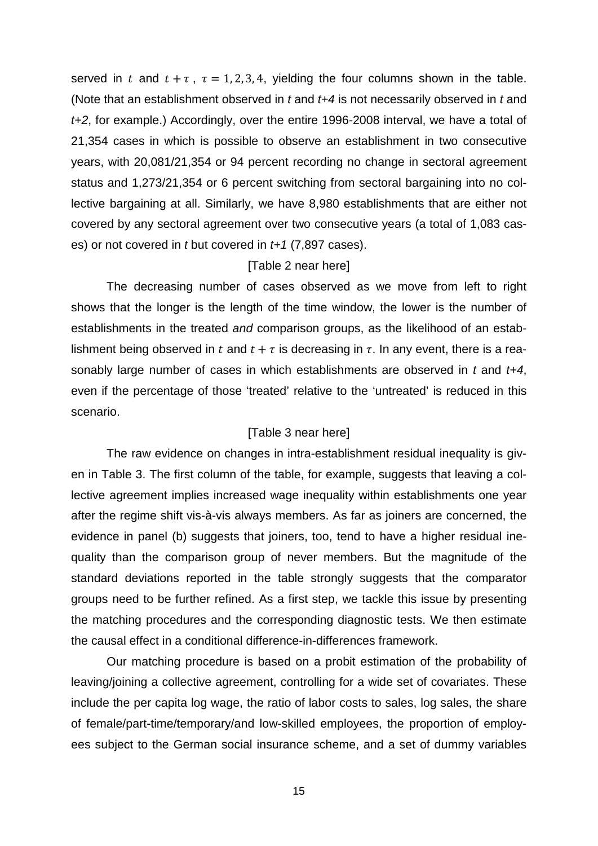served in t and  $t + \tau$ ,  $\tau = 1, 2, 3, 4$ , yielding the four columns shown in the table. (Note that an establishment observed in *t* and *t+4* is not necessarily observed in *t* and *t+2*, for example.) Accordingly, over the entire 1996-2008 interval, we have a total of 21,354 cases in which is possible to observe an establishment in two consecutive years, with 20,081/21,354 or 94 percent recording no change in sectoral agreement status and 1,273/21,354 or 6 percent switching from sectoral bargaining into no collective bargaining at all. Similarly, we have 8,980 establishments that are either not covered by any sectoral agreement over two consecutive years (a total of 1,083 cases) or not covered in *t* but covered in *t+1* (7,897 cases).

#### [Table 2 near here]

The decreasing number of cases observed as we move from left to right shows that the longer is the length of the time window, the lower is the number of establishments in the treated *and* comparison groups, as the likelihood of an establishment being observed in t and  $t + \tau$  is decreasing in  $\tau$ . In any event, there is a reasonably large number of cases in which establishments are observed in *t* and *t+4*, even if the percentage of those 'treated' relative to the 'untreated' is reduced in this scenario.

#### [Table 3 near here]

The raw evidence on changes in intra-establishment residual inequality is given in Table 3. The first column of the table, for example, suggests that leaving a collective agreement implies increased wage inequality within establishments one year after the regime shift vis-à-vis always members. As far as joiners are concerned, the evidence in panel (b) suggests that joiners, too, tend to have a higher residual inequality than the comparison group of never members. But the magnitude of the standard deviations reported in the table strongly suggests that the comparator groups need to be further refined. As a first step, we tackle this issue by presenting the matching procedures and the corresponding diagnostic tests. We then estimate the causal effect in a conditional difference-in-differences framework.

Our matching procedure is based on a probit estimation of the probability of leaving/joining a collective agreement, controlling for a wide set of covariates. These include the per capita log wage, the ratio of labor costs to sales, log sales, the share of female/part-time/temporary/and low-skilled employees, the proportion of employees subject to the German social insurance scheme, and a set of dummy variables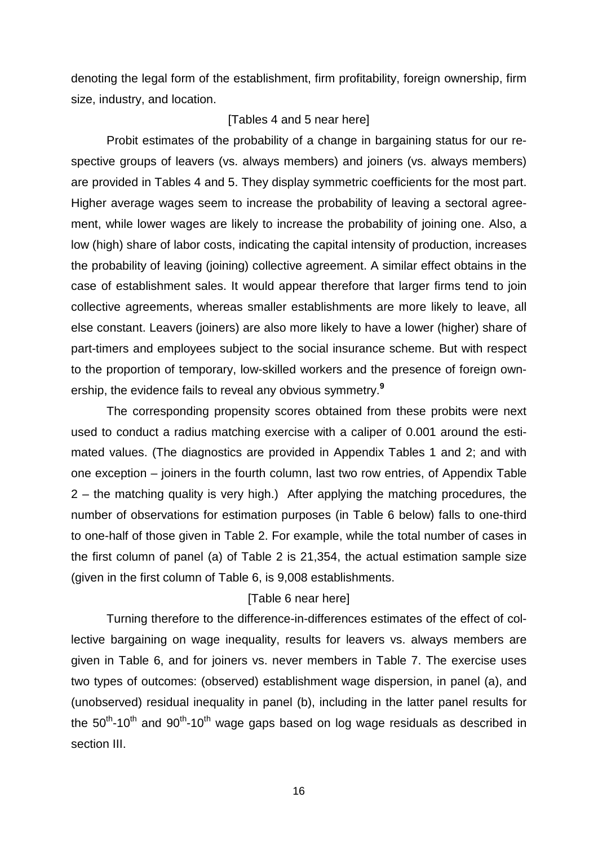denoting the legal form of the establishment, firm profitability, foreign ownership, firm size, industry, and location.

#### [Tables 4 and 5 near here]

Probit estimates of the probability of a change in bargaining status for our respective groups of leavers (vs. always members) and joiners (vs. always members) are provided in Tables 4 and 5. They display symmetric coefficients for the most part. Higher average wages seem to increase the probability of leaving a sectoral agreement, while lower wages are likely to increase the probability of joining one. Also, a low (high) share of labor costs, indicating the capital intensity of production, increases the probability of leaving (joining) collective agreement. A similar effect obtains in the case of establishment sales. It would appear therefore that larger firms tend to join collective agreements, whereas smaller establishments are more likely to leave, all else constant. Leavers (joiners) are also more likely to have a lower (higher) share of part-timers and employees subject to the social insurance scheme. But with respect to the proportion of temporary, low-skilled workers and the presence of foreign ownership, the evidence fails to reveal any obvious symmetry. **9**

The corresponding propensity scores obtained from these probits were next used to conduct a radius matching exercise with a caliper of 0.001 around the estimated values. (The diagnostics are provided in Appendix Tables 1 and 2; and with one exception – joiners in the fourth column, last two row entries, of Appendix Table  $2$  – the matching quality is very high.) After applying the matching procedures, the number of observations for estimation purposes (in Table 6 below) falls to one-third to one-half of those given in Table 2. For example, while the total number of cases in the first column of panel (a) of Table 2 is 21,354, the actual estimation sample size (given in the first column of Table 6, is 9,008 establishments.

### [Table 6 near here]

Turning therefore to the difference-in-differences estimates of the effect of collective bargaining on wage inequality, results for leavers vs. always members are given in Table 6, and for joiners vs. never members in Table 7. The exercise uses two types of outcomes: (observed) establishment wage dispersion, in panel (a), and (unobserved) residual inequality in panel (b), including in the latter panel results for the  $50<sup>th</sup>$ -10<sup>th</sup> and  $90<sup>th</sup>$ -10<sup>th</sup> wage gaps based on log wage residuals as described in section III.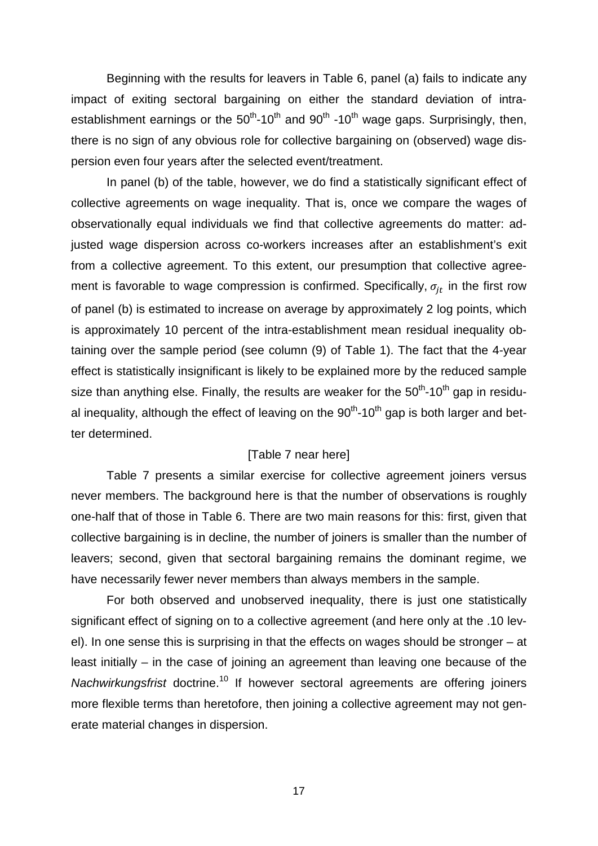Beginning with the results for leavers in Table 6, panel (a) fails to indicate any impact of exiting sectoral bargaining on either the standard deviation of intraestablishment earnings or the  $50<sup>th</sup>$ -10<sup>th</sup> and 90<sup>th</sup> -10<sup>th</sup> wage gaps. Surprisingly, then, there is no sign of any obvious role for collective bargaining on (observed) wage dispersion even four years after the selected event/treatment.

In panel (b) of the table, however, we do find a statistically significant effect of collective agreements on wage inequality. That is, once we compare the wages of observationally equal individuals we find that collective agreements do matter: adjusted wage dispersion across co-workers increases after an establishment's exit from a collective agreement. To this extent, our presumption that collective agreement is favorable to wage compression is confirmed. Specifically,  $\sigma_{it}$  in the first row of panel (b) is estimated to increase on average by approximately 2 log points, which is approximately 10 percent of the intra-establishment mean residual inequality obtaining over the sample period (see column (9) of Table 1). The fact that the 4-year effect is statistically insignificant is likely to be explained more by the reduced sample size than anything else. Finally, the results are weaker for the  $50<sup>th</sup>$ -10<sup>th</sup> gap in residual inequality, although the effect of leaving on the  $90<sup>th</sup>$ -10<sup>th</sup> gap is both larger and better determined.

#### [Table 7 near here]

Table 7 presents a similar exercise for collective agreement joiners versus never members. The background here is that the number of observations is roughly one-half that of those in Table 6. There are two main reasons for this: first, given that collective bargaining is in decline, the number of joiners is smaller than the number of leavers; second, given that sectoral bargaining remains the dominant regime, we have necessarily fewer never members than always members in the sample.

For both observed and unobserved inequality, there is just one statistically significant effect of signing on to a collective agreement (and here only at the .10 level). In one sense this is surprising in that the effects on wages should be stronger – at least initially – in the case of joining an agreement than leaving one because of the *Nachwirkungsfrist* doctrine.<sup>10</sup> If however sectoral agreements are offering joiners more flexible terms than heretofore, then joining a collective agreement may not generate material changes in dispersion.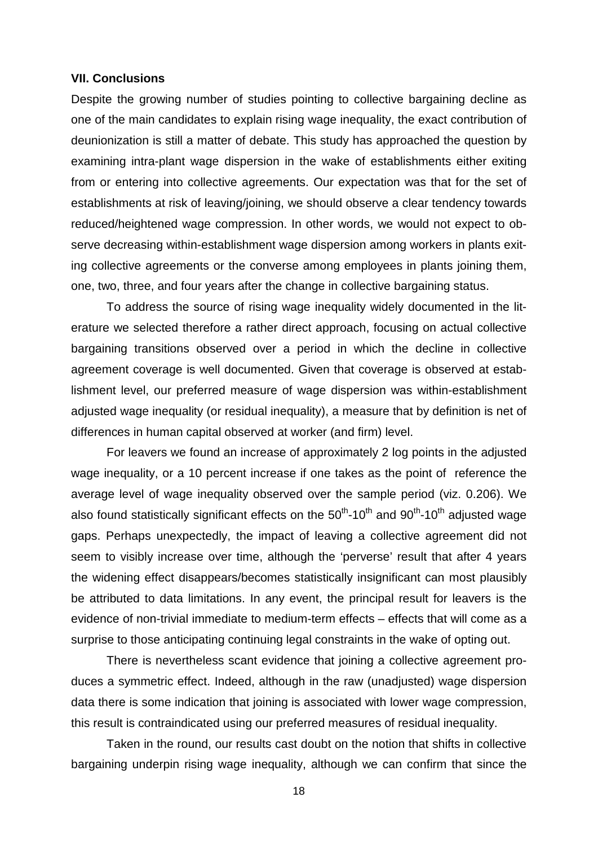#### **VII. Conclusions**

Despite the growing number of studies pointing to collective bargaining decline as one of the main candidates to explain rising wage inequality, the exact contribution of deunionization is still a matter of debate. This study has approached the question by examining intra-plant wage dispersion in the wake of establishments either exiting from or entering into collective agreements. Our expectation was that for the set of establishments at risk of leaving/joining, we should observe a clear tendency towards reduced/heightened wage compression. In other words, we would not expect to observe decreasing within-establishment wage dispersion among workers in plants exiting collective agreements or the converse among employees in plants joining them, one, two, three, and four years after the change in collective bargaining status.

To address the source of rising wage inequality widely documented in the literature we selected therefore a rather direct approach, focusing on actual collective bargaining transitions observed over a period in which the decline in collective agreement coverage is well documented. Given that coverage is observed at establishment level, our preferred measure of wage dispersion was within-establishment adjusted wage inequality (or residual inequality), a measure that by definition is net of differences in human capital observed at worker (and firm) level.

For leavers we found an increase of approximately 2 log points in the adjusted wage inequality, or a 10 percent increase if one takes as the point of reference the average level of wage inequality observed over the sample period (viz. 0.206). We also found statistically significant effects on the  $50<sup>th</sup>$ -10<sup>th</sup> and 90<sup>th</sup>-10<sup>th</sup> adjusted wage gaps. Perhaps unexpectedly, the impact of leaving a collective agreement did not seem to visibly increase over time, although the 'perverse' result that after 4 years the widening effect disappears/becomes statistically insignificant can most plausibly be attributed to data limitations. In any event, the principal result for leavers is the evidence of non-trivial immediate to medium-term effects – effects that will come as a surprise to those anticipating continuing legal constraints in the wake of opting out.

There is nevertheless scant evidence that joining a collective agreement produces a symmetric effect. Indeed, although in the raw (unadjusted) wage dispersion data there is some indication that joining is associated with lower wage compression, this result is contraindicated using our preferred measures of residual inequality.

Taken in the round, our results cast doubt on the notion that shifts in collective bargaining underpin rising wage inequality, although we can confirm that since the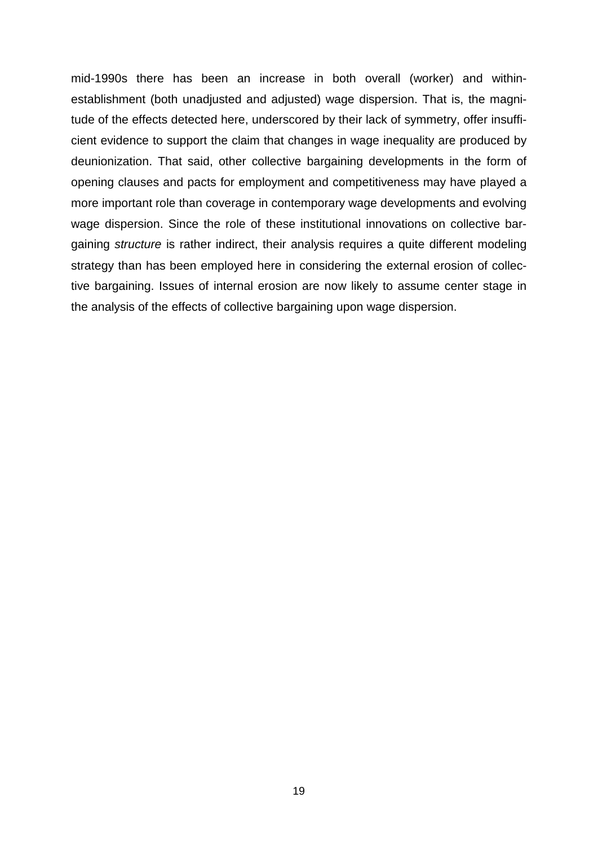mid-1990s there has been an increase in both overall (worker) and withinestablishment (both unadjusted and adjusted) wage dispersion. That is, the magnitude of the effects detected here, underscored by their lack of symmetry, offer insufficient evidence to support the claim that changes in wage inequality are produced by deunionization. That said, other collective bargaining developments in the form of opening clauses and pacts for employment and competitiveness may have played a more important role than coverage in contemporary wage developments and evolving wage dispersion. Since the role of these institutional innovations on collective bargaining *structure* is rather indirect, their analysis requires a quite different modeling strategy than has been employed here in considering the external erosion of collective bargaining. Issues of internal erosion are now likely to assume center stage in the analysis of the effects of collective bargaining upon wage dispersion.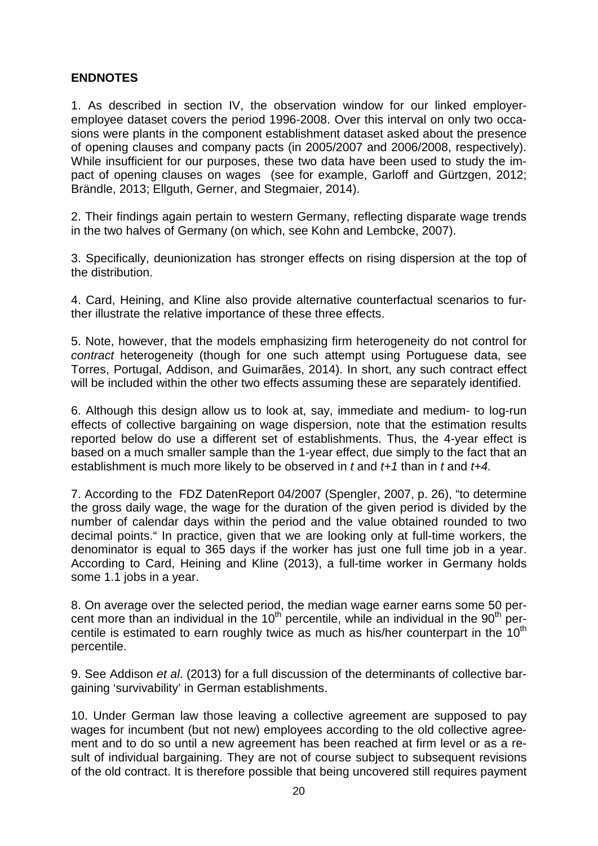## **ENDNOTES**

1. As described in section IV, the observation window for our linked employeremployee dataset covers the period 1996-2008. Over this interval on only two occasions were plants in the component establishment dataset asked about the presence of opening clauses and company pacts (in 2005/2007 and 2006/2008, respectively). While insufficient for our purposes, these two data have been used to study the impact of opening clauses on wages (see for example, Garloff and Gürtzgen, 2012; Brändle, 2013; Ellguth, Gerner, and Stegmaier, 2014).

2. Their findings again pertain to western Germany, reflecting disparate wage trends in the two halves of Germany (on which, see Kohn and Lembcke, 2007).

3. Specifically, deunionization has stronger effects on rising dispersion at the top of the distribution.

4. Card, Heining, and Kline also provide alternative counterfactual scenarios to further illustrate the relative importance of these three effects.

5. Note, however, that the models emphasizing firm heterogeneity do not control for *contract* heterogeneity (though for one such attempt using Portuguese data, see Torres, Portugal, Addison, and Guimarães, 2014). In short, any such contract effect will be included within the other two effects assuming these are separately identified.

6. Although this design allow us to look at, say, immediate and medium- to log-run effects of collective bargaining on wage dispersion, note that the estimation results reported below do use a different set of establishments. Thus, the 4-year effect is based on a much smaller sample than the 1-year effect, due simply to the fact that an establishment is much more likely to be observed in *t* and *t+1* than in *t* and *t+4.*

7. According to the FDZ DatenReport 04/2007 (Spengler, 2007, p. 26), "to determine the gross daily wage, the wage for the duration of the given period is divided by the number of calendar days within the period and the value obtained rounded to two decimal points." In practice, given that we are looking only at full-time workers, the denominator is equal to 365 days if the worker has just one full time job in a year. According to Card, Heining and Kline (2013), a full-time worker in Germany holds some 1.1 jobs in a year.

8. On average over the selected period, the median wage earner earns some 50 percent more than an individual in the  $10<sup>th</sup>$  percentile, while an individual in the  $90<sup>th</sup>$  percentile is estimated to earn roughly twice as much as his/her counterpart in the  $10<sup>th</sup>$ percentile.

9. See Addison *et al*. (2013) for a full discussion of the determinants of collective bargaining 'survivability' in German establishments.

10. Under German law those leaving a collective agreement are supposed to pay wages for incumbent (but not new) employees according to the old collective agreement and to do so until a new agreement has been reached at firm level or as a result of individual bargaining. They are not of course subject to subsequent revisions of the old contract. It is therefore possible that being uncovered still requires payment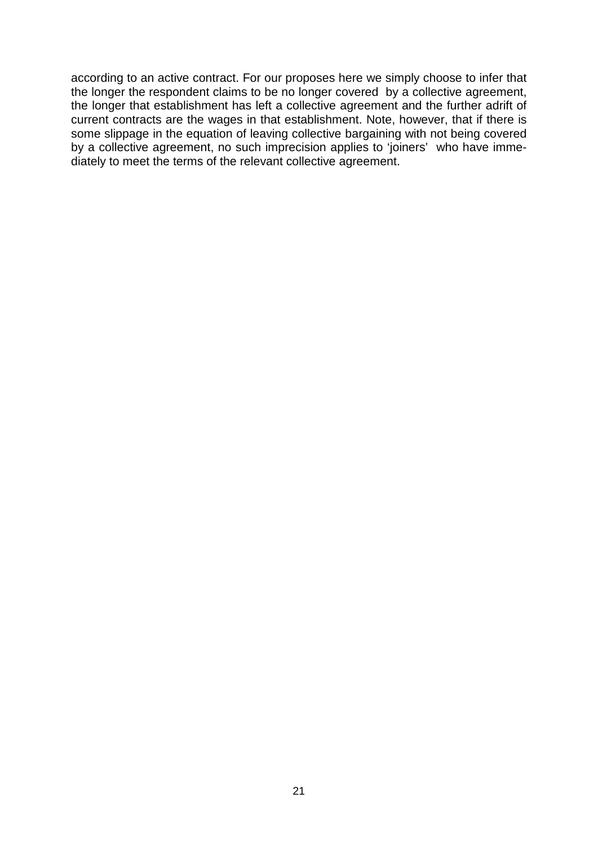according to an active contract. For our proposes here we simply choose to infer that the longer the respondent claims to be no longer covered by a collective agreement, the longer that establishment has left a collective agreement and the further adrift of current contracts are the wages in that establishment. Note, however, that if there is some slippage in the equation of leaving collective bargaining with not being covered by a collective agreement, no such imprecision applies to 'joiners' who have immediately to meet the terms of the relevant collective agreement.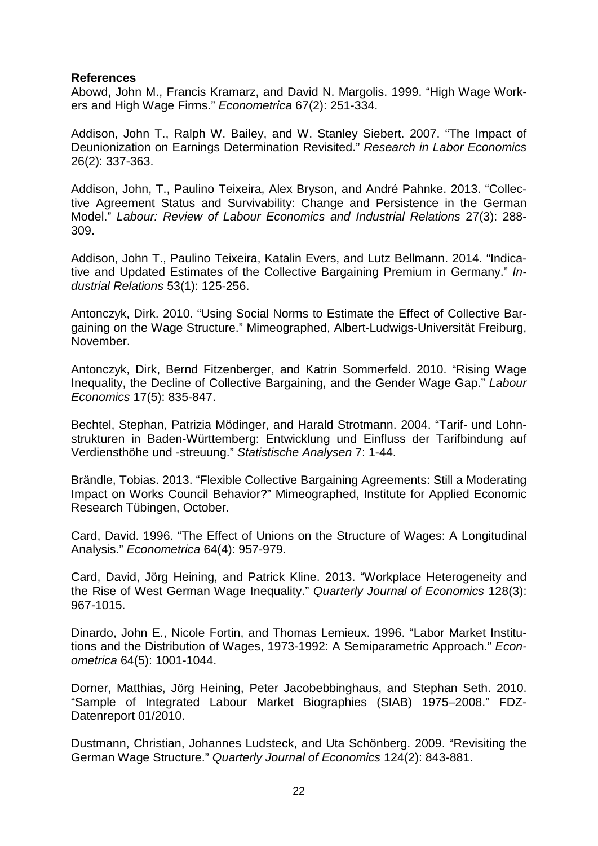#### **References**

Abowd, John M., Francis Kramarz, and David N. Margolis. 1999. "High Wage Workers and High Wage Firms." *Econometrica* 67(2): 251-334.

Addison, John T., Ralph W. Bailey, and W. Stanley Siebert. 2007. "The Impact of Deunionization on Earnings Determination Revisited." *Research in Labor Economics*  26(2): 337-363.

Addison, John, T., Paulino Teixeira, Alex Bryson, and André Pahnke. 2013. "Collective Agreement Status and Survivability: Change and Persistence in the German Model." *Labour: Review of Labour Economics and Industrial Relations* 27(3): 288- 309.

Addison, John T., Paulino Teixeira, Katalin Evers, and Lutz Bellmann. 2014. "Indicative and Updated Estimates of the Collective Bargaining Premium in Germany." *Industrial Relations* 53(1): 125-256.

Antonczyk, Dirk. 2010. "Using Social Norms to Estimate the Effect of Collective Bargaining on the Wage Structure." Mimeographed, Albert-Ludwigs-Universität Freiburg, November.

Antonczyk, Dirk, Bernd Fitzenberger, and Katrin Sommerfeld. 2010. "Rising Wage Inequality, the Decline of Collective Bargaining, and the Gender Wage Gap." *Labour Economics* 17(5): 835-847.

Bechtel, Stephan, Patrizia Mödinger, and Harald Strotmann. 2004. "Tarif- und Lohnstrukturen in Baden-Württemberg: Entwicklung und Einfluss der Tarifbindung auf Verdiensthöhe und -streuung." *Statistische Analysen* 7: 1-44.

Brändle, Tobias. 2013. "Flexible Collective Bargaining Agreements: Still a Moderating Impact on Works Council Behavior?" Mimeographed, Institute for Applied Economic Research Tübingen, October.

Card, David. 1996. "The Effect of Unions on the Structure of Wages: A Longitudinal Analysis." *Econometrica* 64(4): 957-979.

Card, David, Jörg Heining, and Patrick Kline. 2013. "Workplace Heterogeneity and the Rise of West German Wage Inequality." *Quarterly Journal of Economics* 128(3): 967-1015.

Dinardo, John E., Nicole Fortin, and Thomas Lemieux. 1996. "Labor Market Institutions and the Distribution of Wages, 1973-1992: A Semiparametric Approach." *Econometrica* 64(5): 1001-1044.

Dorner, Matthias, Jörg Heining, Peter Jacobebbinghaus, and Stephan Seth. 2010. "Sample of Integrated Labour Market Biographies (SIAB) 1975–2008." FDZ-Datenreport 01/2010.

Dustmann, Christian, Johannes Ludsteck, and Uta Schönberg. 2009. "Revisiting the German Wage Structure." *Quarterly Journal of Economics* 124(2): 843-881.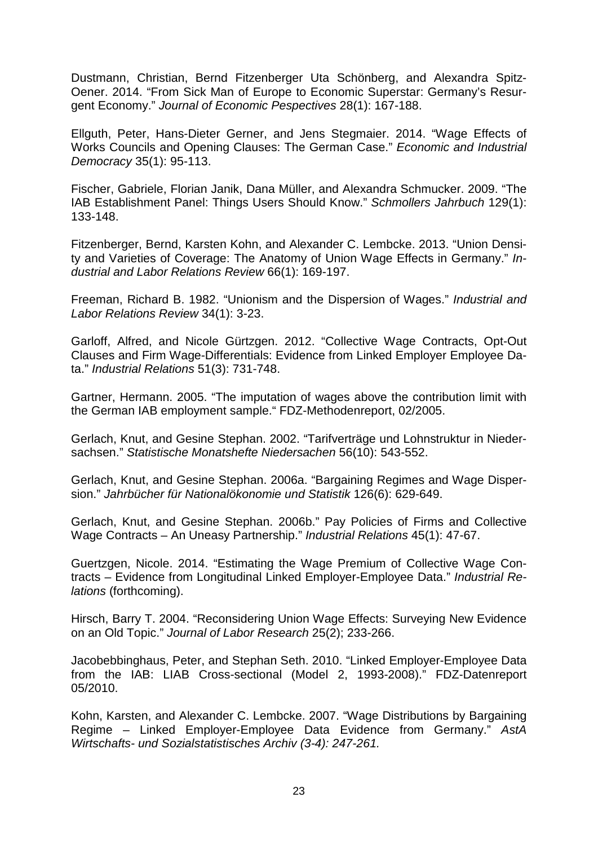Dustmann, Christian, Bernd Fitzenberger Uta Schönberg, and Alexandra Spitz-Oener. 2014. "From Sick Man of Europe to Economic Superstar: Germany's Resurgent Economy." *Journal of Economic Pespectives* 28(1): 167-188.

Ellguth, Peter, Hans-Dieter Gerner, and Jens Stegmaier. 2014. "Wage Effects of Works Councils and Opening Clauses: The German Case." *Economic and Industrial Democracy* 35(1): 95-113.

Fischer, Gabriele, Florian Janik, Dana Müller, and Alexandra Schmucker. 2009. "The IAB Establishment Panel: Things Users Should Know." *Schmollers Jahrbuch* 129(1): 133-148.

Fitzenberger, Bernd, Karsten Kohn, and Alexander C. Lembcke. 2013. "Union Density and Varieties of Coverage: The Anatomy of Union Wage Effects in Germany." *Industrial and Labor Relations Review* 66(1): 169-197.

Freeman, Richard B. 1982. "Unionism and the Dispersion of Wages." *Industrial and Labor Relations Review* 34(1): 3-23.

Garloff, Alfred, and Nicole Gürtzgen. 2012. "Collective Wage Contracts, Opt-Out Clauses and Firm Wage-Differentials: Evidence from Linked Employer Employee Data." *Industrial Relations* 51(3): 731-748.

Gartner, Hermann. 2005. "The imputation of wages above the contribution limit with the German IAB employment sample." FDZ-Methodenreport, 02/2005.

Gerlach, Knut, and Gesine Stephan. 2002. "Tarifverträge und Lohnstruktur in Niedersachsen." *Statistische Monatshefte Niedersachen* 56(10): 543-552.

Gerlach, Knut, and Gesine Stephan. 2006a. "Bargaining Regimes and Wage Dispersion." *Jahrbücher für Nationalökonomie und Statistik* 126(6): 629-649.

Gerlach, Knut, and Gesine Stephan. 2006b." Pay Policies of Firms and Collective Wage Contracts – An Uneasy Partnership." *Industrial Relations* 45(1): 47-67.

Guertzgen, Nicole. 2014. "Estimating the Wage Premium of Collective Wage Contracts – Evidence from Longitudinal Linked Employer-Employee Data." *Industrial Relations* (forthcoming).

Hirsch, Barry T. 2004. "Reconsidering Union Wage Effects: Surveying New Evidence on an Old Topic." *Journal of Labor Research* 25(2); 233-266.

Jacobebbinghaus, Peter, and Stephan Seth. 2010. "Linked Employer-Employee Data from the IAB: LIAB Cross-sectional (Model 2, 1993-2008)." FDZ-Datenreport 05/2010.

Kohn, Karsten, and Alexander C. Lembcke. 2007. "Wage Distributions by Bargaining Regime – Linked Employer-Employee Data Evidence from Germany." *AstA Wirtschafts- und Sozialstatistisches Archiv (3-4): 247-261.*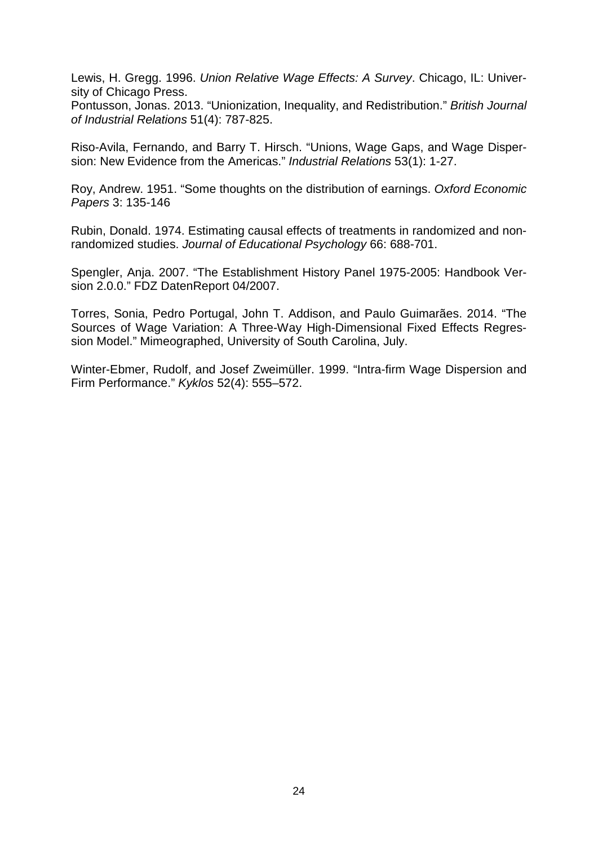Lewis, H. Gregg. 1996. *Union Relative Wage Effects: A Survey*. Chicago, IL: University of Chicago Press.

Pontusson, Jonas. 2013. "Unionization, Inequality, and Redistribution." *British Journal of Industrial Relations* 51(4): 787-825.

Riso-Avila, Fernando, and Barry T. Hirsch. "Unions, Wage Gaps, and Wage Dispersion: New Evidence from the Americas." *Industrial Relations* 53(1): 1-27.

Roy, Andrew. 1951. "Some thoughts on the distribution of earnings. *Oxford Economic Papers* 3: 135-146

Rubin, Donald. 1974. Estimating causal effects of treatments in randomized and nonrandomized studies. *Journal of Educational Psychology* 66: 688-701.

Spengler, Anja. 2007. "The Establishment History Panel 1975-2005: Handbook Version 2.0.0." FDZ DatenReport 04/2007.

Torres, Sonia, Pedro Portugal, John T. Addison, and Paulo Guimarães. 2014. "The Sources of Wage Variation: A Three-Way High-Dimensional Fixed Effects Regression Model." Mimeographed, University of South Carolina, July.

Winter-Ebmer, Rudolf, and Josef Zweimüller. 1999. "Intra-firm Wage Dispersion and Firm Performance." *Kyklos* 52(4): 555–572.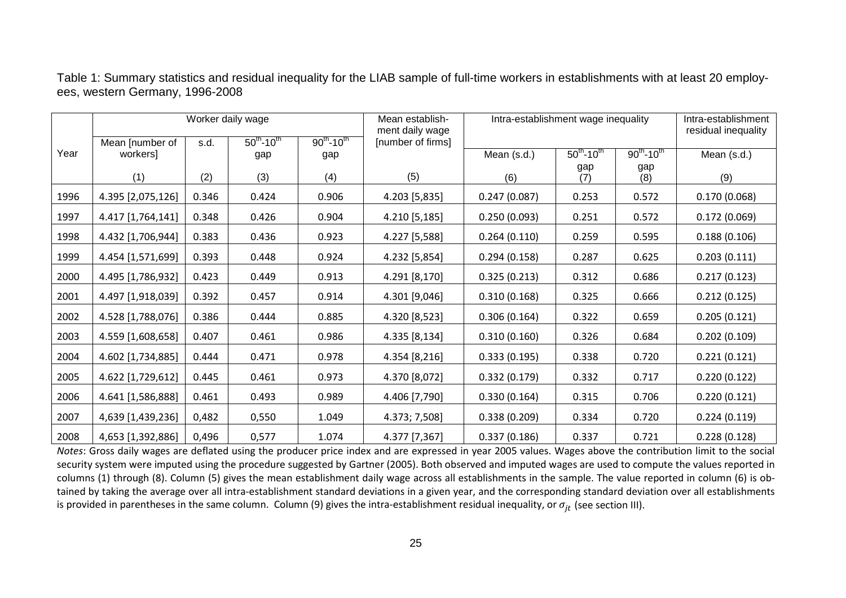Table 1: Summary statistics and residual inequality for the LIAB sample of full-time workers in establishments with at least 20 employees, western Germany, 1996-2008

|      | Worker daily wage |       |                             | Mean establish-<br>ment daily wage               | Intra-establishment wage inequality |              |                             | Intra-establishment<br>residual inequality |              |
|------|-------------------|-------|-----------------------------|--------------------------------------------------|-------------------------------------|--------------|-----------------------------|--------------------------------------------|--------------|
|      | Mean [number of   | s.d.  | $50^{th}$ -10 <sup>th</sup> | $90^{th}$ -10 <sup>th</sup><br>[number of firms] |                                     |              |                             |                                            |              |
| Year | workers]          |       | gap                         | gap                                              |                                     | Mean (s.d.)  | $50^{th}$ -10 <sup>th</sup> | $90^{th}$ -10 <sup>th</sup>                | Mean (s.d.)  |
|      | (1)               | (2)   | (3)                         | (4)                                              | (5)                                 | (6)          | gap<br>(7)                  | gap<br>(8)                                 | (9)          |
| 1996 | 4.395 [2,075,126] | 0.346 | 0.424                       | 0.906                                            | 4.203 [5,835]                       | 0.247(0.087) | 0.253                       | 0.572                                      | 0.170(0.068) |
| 1997 | 4.417 [1,764,141] | 0.348 | 0.426                       | 0.904                                            | 4.210 [5,185]                       | 0.250(0.093) | 0.251                       | 0.572                                      | 0.172(0.069) |
| 1998 | 4.432 [1,706,944] | 0.383 | 0.436                       | 0.923                                            | 4.227 [5,588]                       | 0.264(0.110) | 0.259                       | 0.595                                      | 0.188(0.106) |
| 1999 | 4.454 [1,571,699] | 0.393 | 0.448                       | 0.924                                            | 4.232 [5,854]                       | 0.294(0.158) | 0.287                       | 0.625                                      | 0.203(0.111) |
| 2000 | 4.495 [1,786,932] | 0.423 | 0.449                       | 0.913                                            | 4.291 [8,170]                       | 0.325(0.213) | 0.312                       | 0.686                                      | 0.217(0.123) |
| 2001 | 4.497 [1,918,039] | 0.392 | 0.457                       | 0.914                                            | 4.301 [9,046]                       | 0.310(0.168) | 0.325                       | 0.666                                      | 0.212(0.125) |
| 2002 | 4.528 [1,788,076] | 0.386 | 0.444                       | 0.885                                            | 4.320 [8,523]                       | 0.306(0.164) | 0.322                       | 0.659                                      | 0.205(0.121) |
| 2003 | 4.559 [1,608,658] | 0.407 | 0.461                       | 0.986                                            | 4.335 [8,134]                       | 0.310(0.160) | 0.326                       | 0.684                                      | 0.202(0.109) |
| 2004 | 4.602 [1,734,885] | 0.444 | 0.471                       | 0.978                                            | 4.354 [8,216]                       | 0.333(0.195) | 0.338                       | 0.720                                      | 0.221(0.121) |
| 2005 | 4.622 [1,729,612] | 0.445 | 0.461                       | 0.973                                            | 4.370 [8,072]                       | 0.332(0.179) | 0.332                       | 0.717                                      | 0.220(0.122) |
| 2006 | 4.641 [1,586,888] | 0.461 | 0.493                       | 0.989                                            | 4.406 [7,790]                       | 0.330(0.164) | 0.315                       | 0.706                                      | 0.220(0.121) |
| 2007 | 4,639 [1,439,236] | 0,482 | 0,550                       | 1.049                                            | 4.373; 7,508]                       | 0.338(0.209) | 0.334                       | 0.720                                      | 0.224(0.119) |
| 2008 | 4,653 [1,392,886] | 0,496 | 0,577                       | 1.074                                            | 4.377 [7,367]                       | 0.337(0.186) | 0.337                       | 0.721                                      | 0.228(0.128) |

*Notes*: Gross daily wages are deflated using the producer price index and are expressed in year 2005 values. Wages above the contribution limit to the social security system were imputed using the procedure suggested by Gartner (2005). Both observed and imputed wages are used to compute the values reported in columns (1) through (8). Column (5) gives the mean establishment daily wage across all establishments in the sample. The value reported in column (6) is obtained by taking the average over all intra-establishment standard deviations in a given year, and the corresponding standard deviation over all establishments is provided in parentheses in the same column. Column (9) gives the intra-establishment residual inequality, or  $\sigma_{it}$  (see section III).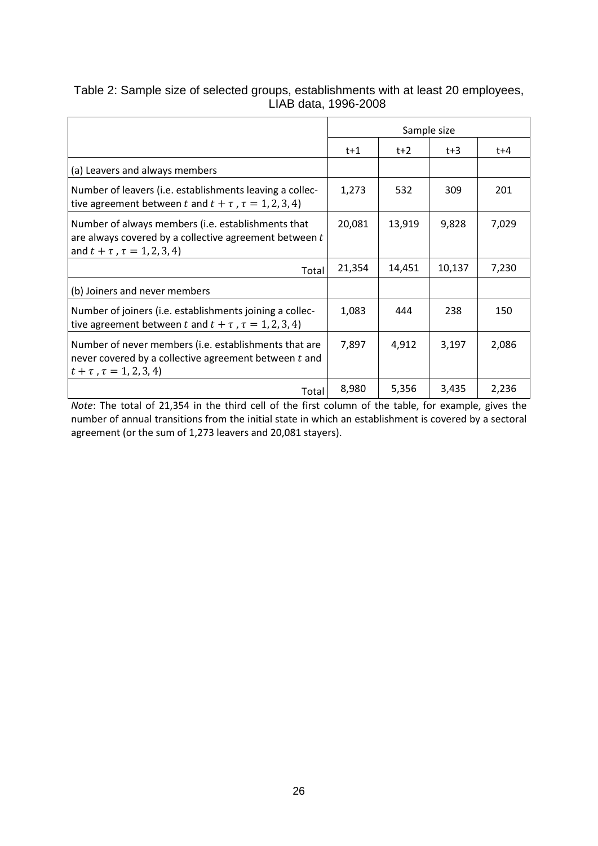## Table 2: Sample size of selected groups, establishments with at least 20 employees, LIAB data, 1996-2008

|                                                                                                                                                        | Sample size |        |        |       |
|--------------------------------------------------------------------------------------------------------------------------------------------------------|-------------|--------|--------|-------|
|                                                                                                                                                        | $t+1$       | $t+2$  | $t+3$  | t+4   |
| (a) Leavers and always members                                                                                                                         |             |        |        |       |
| Number of leavers (i.e. establishments leaving a collec-<br>tive agreement between t and $t + \tau$ , $\tau = 1, 2, 3, 4$ )                            | 1,273       | 532    | 309    | 201   |
| Number of always members (i.e. establishments that<br>are always covered by a collective agreement between t<br>and $t + \tau$ , $\tau = 1, 2, 3, 4$ ) | 20,081      | 13,919 | 9,828  | 7,029 |
| Total                                                                                                                                                  | 21,354      | 14,451 | 10,137 | 7,230 |
| (b) Joiners and never members                                                                                                                          |             |        |        |       |
| Number of joiners (i.e. establishments joining a collec-<br>tive agreement between t and $t + \tau$ , $\tau = 1, 2, 3, 4$ )                            | 1,083       | 444    | 238    | 150   |
| Number of never members (i.e. establishments that are<br>never covered by a collective agreement between t and<br>$t + \tau$ , $\tau = 1, 2, 3, 4$     | 7,897       | 4,912  | 3,197  | 2,086 |
| Total                                                                                                                                                  | 8,980       | 5,356  | 3,435  | 2,236 |

*Note*: The total of 21,354 in the third cell of the first column of the table, for example, gives the number of annual transitions from the initial state in which an establishment is covered by a sectoral agreement (or the sum of 1,273 leavers and 20,081 stayers).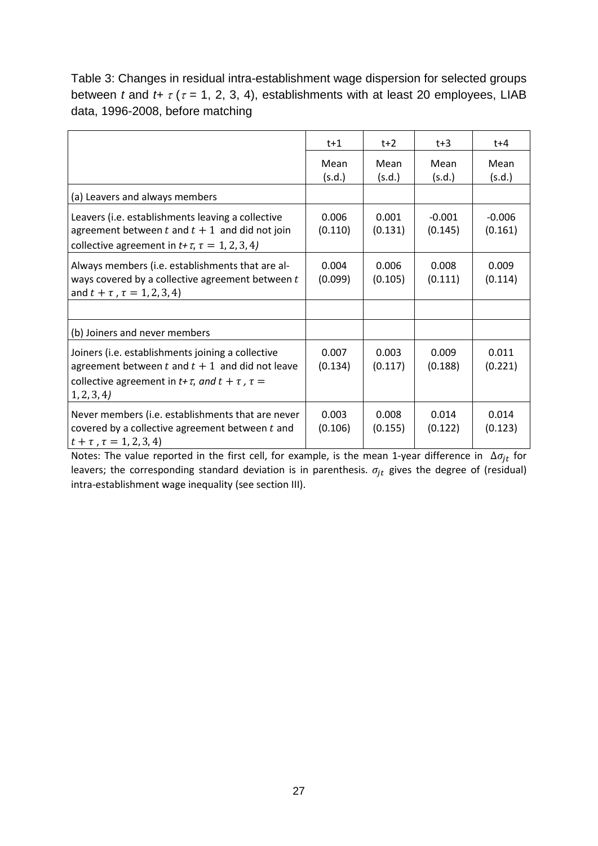Table 3: Changes in residual intra-establishment wage dispersion for selected groups between *t* and  $t + \tau$  ( $\tau$  = 1, 2, 3, 4), establishments with at least 20 employees, LIAB data, 1996-2008, before matching

|                                                                                                                                                                                         | $t+1$            | $t+2$            | $t+3$               | t+4                 |
|-----------------------------------------------------------------------------------------------------------------------------------------------------------------------------------------|------------------|------------------|---------------------|---------------------|
|                                                                                                                                                                                         | Mean<br>(s.d.)   | Mean<br>(s.d.)   | Mean<br>(s.d.)      | Mean<br>(s.d.)      |
| (a) Leavers and always members                                                                                                                                                          |                  |                  |                     |                     |
| Leavers (i.e. establishments leaving a collective<br>agreement between t and $t + 1$ and did not join<br>collective agreement in $t + \tau$ , $\tau = 1, 2, 3, 4$ )                     | 0.006<br>(0.110) | 0.001<br>(0.131) | $-0.001$<br>(0.145) | $-0.006$<br>(0.161) |
| Always members (i.e. establishments that are al-<br>ways covered by a collective agreement between t<br>and $t + \tau$ , $\tau = 1, 2, 3, 4$ )                                          | 0.004<br>(0.099) | 0.006<br>(0.105) | 0.008<br>(0.111)    | 0.009<br>(0.114)    |
|                                                                                                                                                                                         |                  |                  |                     |                     |
| (b) Joiners and never members                                                                                                                                                           |                  |                  |                     |                     |
| Joiners (i.e. establishments joining a collective<br>agreement between t and $t + 1$ and did not leave<br>collective agreement in $t + \tau$ , and $t + \tau$ , $\tau =$<br>1, 2, 3, 4) | 0.007<br>(0.134) | 0.003<br>(0.117) | 0.009<br>(0.188)    | 0.011<br>(0.221)    |
| Never members (i.e. establishments that are never<br>covered by a collective agreement between t and<br>$t + \tau$ , $\tau = 1, 2, 3, 4$                                                | 0.003<br>(0.106) | 0.008<br>(0.155) | 0.014<br>(0.122)    | 0.014<br>(0.123)    |

Notes: The value reported in the first cell, for example, is the mean 1-year difference in  $\Delta \sigma_{jt}$  for leavers; the corresponding standard deviation is in parenthesis.  $\sigma_{jt}$  gives the degree of (residual) intra-establishment wage inequality (see section III).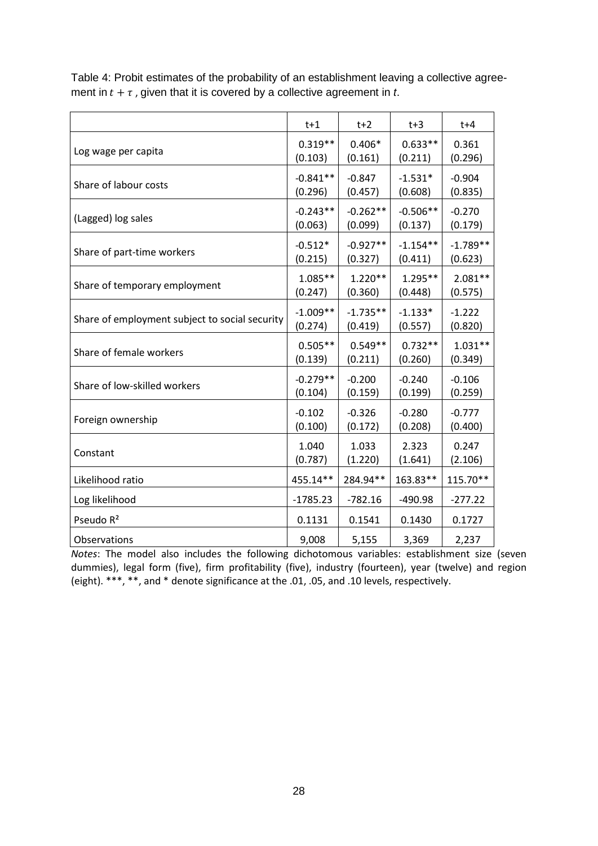|                                                | $t+1$      | $t+2$      | $t+3$      | t+4        |
|------------------------------------------------|------------|------------|------------|------------|
| Log wage per capita                            | $0.319**$  | $0.406*$   | $0.633**$  | 0.361      |
|                                                | (0.103)    | (0.161)    | (0.211)    | (0.296)    |
| Share of labour costs                          | $-0.841**$ | $-0.847$   | $-1.531*$  | $-0.904$   |
|                                                | (0.296)    | (0.457)    | (0.608)    | (0.835)    |
| (Lagged) log sales                             | $-0.243**$ | $-0.262**$ | $-0.506**$ | $-0.270$   |
|                                                | (0.063)    | (0.099)    | (0.137)    | (0.179)    |
| Share of part-time workers                     | $-0.512*$  | $-0.927**$ | $-1.154**$ | $-1.789**$ |
|                                                | (0.215)    | (0.327)    | (0.411)    | (0.623)    |
| Share of temporary employment                  | $1.085**$  | $1.220**$  | $1.295**$  | $2.081**$  |
|                                                | (0.247)    | (0.360)    | (0.448)    | (0.575)    |
| Share of employment subject to social security | $-1.009**$ | $-1.735**$ | $-1.133*$  | $-1.222$   |
|                                                | (0.274)    | (0.419)    | (0.557)    | (0.820)    |
| Share of female workers                        | $0.505**$  | $0.549**$  | $0.732**$  | $1.031**$  |
|                                                | (0.139)    | (0.211)    | (0.260)    | (0.349)    |
| Share of low-skilled workers                   | $-0.279**$ | $-0.200$   | $-0.240$   | $-0.106$   |
|                                                | (0.104)    | (0.159)    | (0.199)    | (0.259)    |
| Foreign ownership                              | $-0.102$   | $-0.326$   | $-0.280$   | $-0.777$   |
|                                                | (0.100)    | (0.172)    | (0.208)    | (0.400)    |
| Constant                                       | 1.040      | 1.033      | 2.323      | 0.247      |
|                                                | (0.787)    | (1.220)    | (1.641)    | (2.106)    |
| Likelihood ratio                               | 455.14**   | 284.94**   | 163.83**   | 115.70**   |
| Log likelihood                                 | $-1785.23$ | $-782.16$  | $-490.98$  | $-277.22$  |
| Pseudo R <sup>2</sup>                          | 0.1131     | 0.1541     | 0.1430     | 0.1727     |
| Observations                                   | 9,008      | 5,155      | 3,369      | 2,237      |

Table 4: Probit estimates of the probability of an establishment leaving a collective agreement in  $t + \tau$ , given that it is covered by a collective agreement in  $t$ .

*Notes*: The model also includes the following dichotomous variables: establishment size (seven dummies), legal form (five), firm profitability (five), industry (fourteen), year (twelve) and region (eight). \*\*\*, \*\*, and \* denote significance at the .01, .05, and .10 levels, respectively.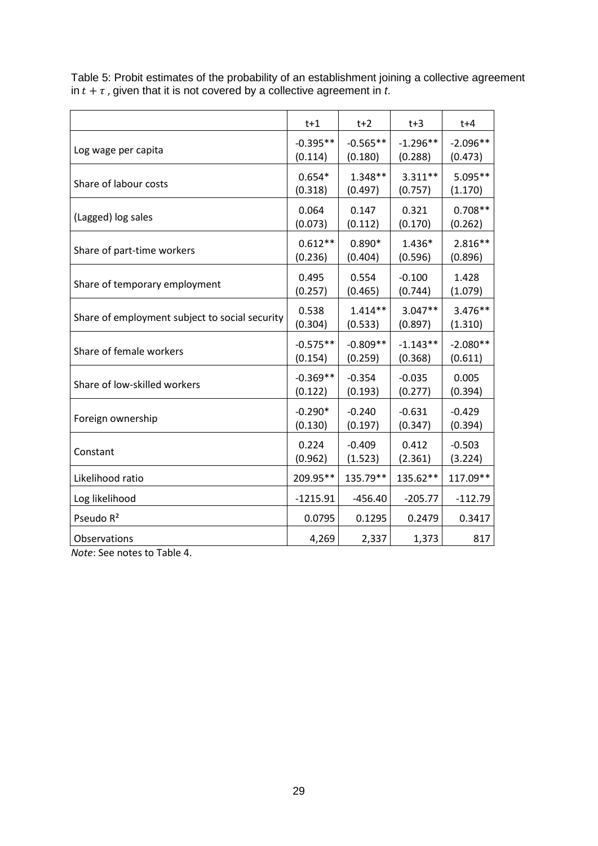|                                                | $t+1$      | $t+2$      | $t+3$      | $t+4$      |
|------------------------------------------------|------------|------------|------------|------------|
| Log wage per capita                            | $-0.395**$ | $-0.565**$ | $-1.296**$ | $-2.096**$ |
|                                                | (0.114)    | (0.180)    | (0.288)    | (0.473)    |
| Share of labour costs                          | $0.654*$   | $1.348**$  | $3.311**$  | 5.095**    |
|                                                | (0.318)    | (0.497)    | (0.757)    | (1.170)    |
| (Lagged) log sales                             | 0.064      | 0.147      | 0.321      | $0.708**$  |
|                                                | (0.073)    | (0.112)    | (0.170)    | (0.262)    |
| Share of part-time workers                     | $0.612**$  | $0.890*$   | 1.436*     | $2.816**$  |
|                                                | (0.236)    | (0.404)    | (0.596)    | (0.896)    |
| Share of temporary employment                  | 0.495      | 0.554      | $-0.100$   | 1.428      |
|                                                | (0.257)    | (0.465)    | (0.744)    | (1.079)    |
| Share of employment subject to social security | 0.538      | $1.414**$  | $3.047**$  | 3.476**    |
|                                                | (0.304)    | (0.533)    | (0.897)    | (1.310)    |
| Share of female workers                        | $-0.575**$ | $-0.809**$ | $-1.143**$ | $-2.080**$ |
|                                                | (0.154)    | (0.259)    | (0.368)    | (0.611)    |
| Share of low-skilled workers                   | $-0.369**$ | $-0.354$   | $-0.035$   | 0.005      |
|                                                | (0.122)    | (0.193)    | (0.277)    | (0.394)    |
| Foreign ownership                              | $-0.290*$  | $-0.240$   | $-0.631$   | $-0.429$   |
|                                                | (0.130)    | (0.197)    | (0.347)    | (0.394)    |
| Constant                                       | 0.224      | $-0.409$   | 0.412      | $-0.503$   |
|                                                | (0.962)    | (1.523)    | (2.361)    | (3.224)    |
| Likelihood ratio                               | 209.95**   | 135.79**   | 135.62**   | 117.09**   |
| Log likelihood                                 | $-1215.91$ | $-456.40$  | $-205.77$  | $-112.79$  |
| Pseudo R <sup>2</sup>                          | 0.0795     | 0.1295     | 0.2479     | 0.3417     |
| Observations                                   | 4,269      | 2,337      | 1,373      | 817        |

Table 5: Probit estimates of the probability of an establishment joining a collective agreement in  $t + \tau$  , given that it is not covered by a collective agreement in  $t$ .

*Note*: See notes to Table 4.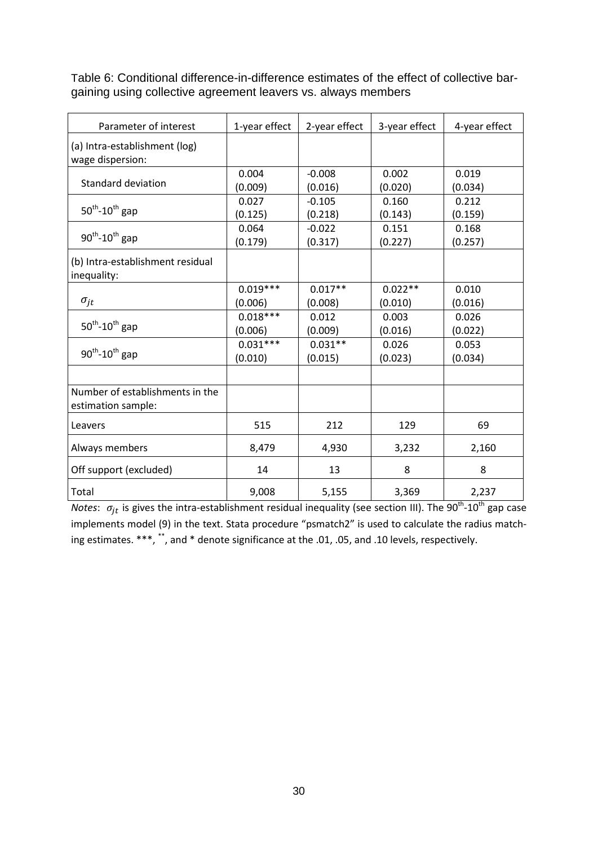| Parameter of interest                                 | 1-year effect         | 2-year effect        | 3-year effect        | 4-year effect    |
|-------------------------------------------------------|-----------------------|----------------------|----------------------|------------------|
| (a) Intra-establishment (log)<br>wage dispersion:     |                       |                      |                      |                  |
| Standard deviation                                    | 0.004<br>(0.009)      | $-0.008$<br>(0.016)  | 0.002<br>(0.020)     | 0.019<br>(0.034) |
| $50^{th}$ -10 <sup>th</sup> gap                       | 0.027<br>(0.125)      | $-0.105$<br>(0.218)  | 0.160<br>(0.143)     | 0.212<br>(0.159) |
| $90^{th}$ -10 <sup>th</sup> gap                       | 0.064<br>(0.179)      | $-0.022$<br>(0.317)  | 0.151<br>(0.227)     | 0.168<br>(0.257) |
| (b) Intra-establishment residual<br>inequality:       |                       |                      |                      |                  |
| $\sigma_{jt}$                                         | $0.019***$<br>(0.006) | $0.017**$<br>(0.008) | $0.022**$<br>(0.010) | 0.010<br>(0.016) |
| $50^{th}$ -10 <sup>th</sup> gap                       | $0.018***$<br>(0.006) | 0.012<br>(0.009)     | 0.003<br>(0.016)     | 0.026<br>(0.022) |
| $90^{th}$ -10 <sup>th</sup> gap                       | $0.031***$<br>(0.010) | $0.031**$<br>(0.015) | 0.026<br>(0.023)     | 0.053<br>(0.034) |
|                                                       |                       |                      |                      |                  |
| Number of establishments in the<br>estimation sample: |                       |                      |                      |                  |
| Leavers                                               | 515                   | 212                  | 129                  | 69               |
| Always members                                        | 8,479                 | 4,930                | 3,232                | 2,160            |
| Off support (excluded)                                | 14                    | 13                   | 8                    | 8                |
| Total                                                 | 9,008                 | 5,155                | 3,369                | 2,237            |

Table 6: Conditional difference-in-difference estimates of the effect of collective bargaining using collective agreement leavers vs. always members

*Notes*:  $\sigma_{it}$  is gives the intra-establishment residual inequality (see section III). The 90<sup>th</sup>-10<sup>th</sup> gap case implements model (9) in the text. Stata procedure "psmatch2" is used to calculate the radius matching estimates. \*\*\*, \*\*, and \* denote significance at the .01, .05, and .10 levels, respectively.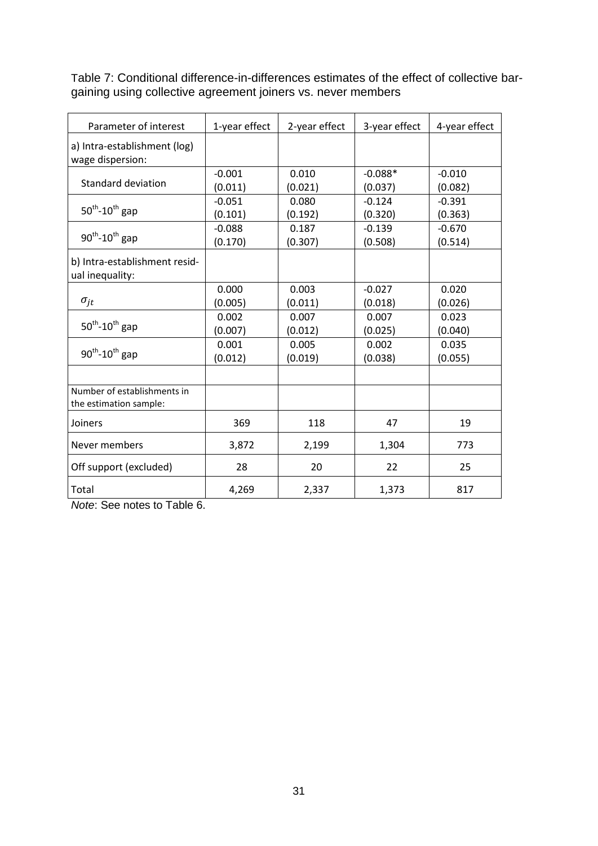Table 7: Conditional difference-in-differences estimates of the effect of collective bargaining using collective agreement joiners vs. never members

| Parameter of interest                                 | 1-year effect | 2-year effect | 3-year effect | 4-year effect |
|-------------------------------------------------------|---------------|---------------|---------------|---------------|
| a) Intra-establishment (log)<br>wage dispersion:      |               |               |               |               |
|                                                       | $-0.001$      | 0.010         | $-0.088*$     | $-0.010$      |
| <b>Standard deviation</b>                             | (0.011)       | (0.021)       | (0.037)       | (0.082)       |
|                                                       | $-0.051$      | 0.080         | $-0.124$      | $-0.391$      |
| $50^{th}$ -10 <sup>th</sup> gap                       | (0.101)       | (0.192)       | (0.320)       | (0.363)       |
|                                                       | $-0.088$      | 0.187         | $-0.139$      | $-0.670$      |
| $90^{th}$ -10 <sup>th</sup> gap                       | (0.170)       | (0.307)       | (0.508)       | (0.514)       |
| b) Intra-establishment resid-<br>ual inequality:      |               |               |               |               |
|                                                       | 0.000         | 0.003         | $-0.027$      | 0.020         |
| $\sigma_{jt}$                                         | (0.005)       | (0.011)       | (0.018)       | (0.026)       |
|                                                       | 0.002         | 0.007         | 0.007         | 0.023         |
| $50^{th}$ -10 <sup>th</sup> gap                       | (0.007)       | (0.012)       | (0.025)       | (0.040)       |
|                                                       | 0.001         | 0.005         | 0.002         | 0.035         |
| $90^{th}$ -10 <sup>th</sup> gap                       | (0.012)       | (0.019)       | (0.038)       | (0.055)       |
|                                                       |               |               |               |               |
| Number of establishments in<br>the estimation sample: |               |               |               |               |
| Joiners                                               | 369           | 118           | 47            | 19            |
| Never members                                         | 3,872         | 2,199         | 1,304         | 773           |
| Off support (excluded)                                | 28            | 20            | 22            | 25            |
| Total                                                 | 4,269         | 2,337         | 1,373         | 817           |

*Note*: See notes to Table 6.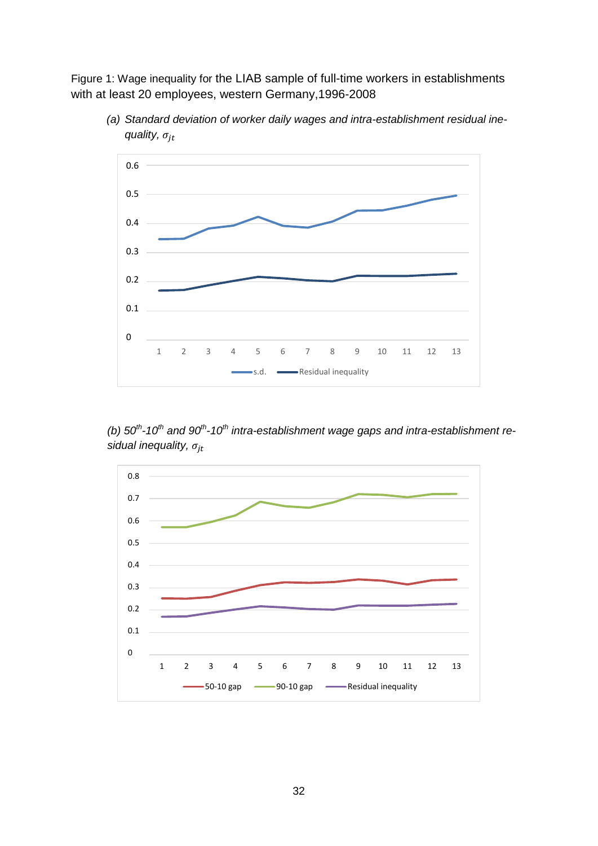Figure 1: Wage inequality for the LIAB sample of full-time workers in establishments with at least 20 employees, western Germany,1996-2008



*(a) Standard deviation of worker daily wages and intra-establishment residual inequality,*  $\sigma_{it}$ 

(b)  $50<sup>th</sup>$ -10<sup>th</sup> and 90<sup>th</sup>-10<sup>th</sup> intra-establishment wage gaps and intra-establishment re*sidual inequality,*